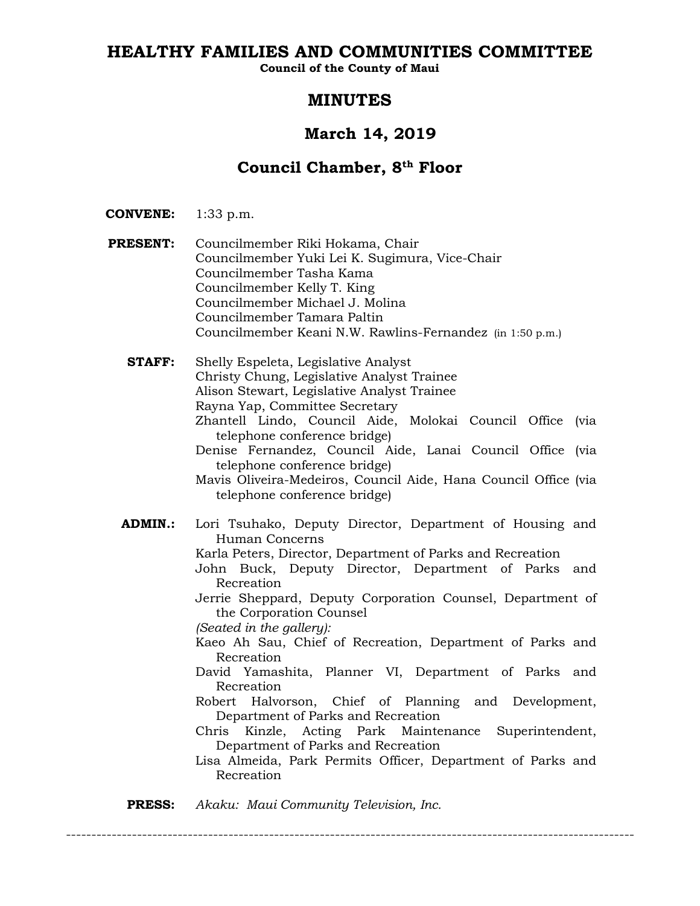# **HEALTHY FAMILIES AND COMMUNITIES COMMITTEE**

**Council of the County of Maui**

# **MINUTES**

# **March 14, 2019**

# **Council Chamber, 8th Floor**

- **CONVENE:** 1:33 p.m.
- **PRESENT:** Councilmember Riki Hokama, Chair Councilmember Yuki Lei K. Sugimura, Vice-Chair Councilmember Tasha Kama Councilmember Kelly T. King Councilmember Michael J. Molina Councilmember Tamara Paltin Councilmember Keani N.W. Rawlins-Fernandez (in 1:50 p.m.)
	- **STAFF:** Shelly Espeleta, Legislative Analyst Christy Chung, Legislative Analyst Trainee Alison Stewart, Legislative Analyst Trainee Rayna Yap, Committee Secretary Zhantell Lindo, Council Aide, Molokai Council Office (via telephone conference bridge) Denise Fernandez, Council Aide, Lanai Council Office (via telephone conference bridge) Mavis Oliveira-Medeiros, Council Aide, Hana Council Office (via telephone conference bridge) **ADMIN.:** Lori Tsuhako, Deputy Director, Department of Housing and Human Concerns Karla Peters, Director, Department of Parks and Recreation John Buck, Deputy Director, Department of Parks and Recreation Jerrie Sheppard, Deputy Corporation Counsel, Department of the Corporation Counsel *(Seated in the gallery):* Kaeo Ah Sau, Chief of Recreation, Department of Parks and Recreation David Yamashita, Planner VI, Department of Parks and Recreation Robert Halvorson, Chief of Planning and Development, Department of Parks and Recreation Chris Kinzle, Acting Park Maintenance Superintendent, Department of Parks and Recreation
		- Lisa Almeida, Park Permits Officer, Department of Parks and Recreation

----------------------------------------------------------------------------------------------------------------

**PRESS:** *Akaku: Maui Community Television, Inc.*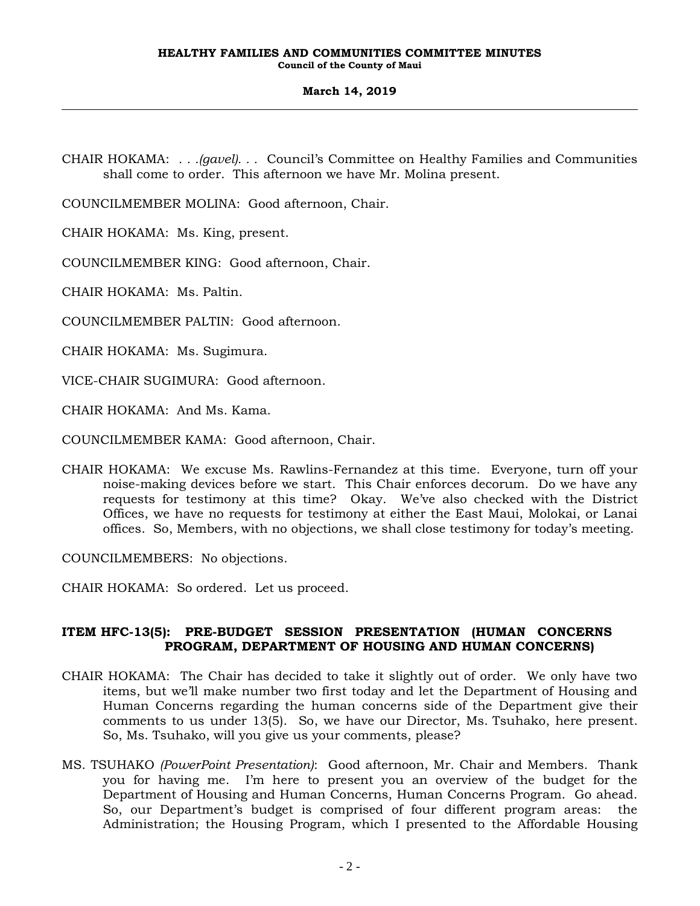CHAIR HOKAMA: *. . .(gavel). . .* Council's Committee on Healthy Families and Communities shall come to order. This afternoon we have Mr. Molina present.

COUNCILMEMBER MOLINA: Good afternoon, Chair.

CHAIR HOKAMA: Ms. King, present.

COUNCILMEMBER KING: Good afternoon, Chair.

CHAIR HOKAMA: Ms. Paltin.

COUNCILMEMBER PALTIN: Good afternoon.

CHAIR HOKAMA: Ms. Sugimura.

VICE-CHAIR SUGIMURA: Good afternoon.

CHAIR HOKAMA: And Ms. Kama.

COUNCILMEMBER KAMA: Good afternoon, Chair.

CHAIR HOKAMA: We excuse Ms. Rawlins-Fernandez at this time. Everyone, turn off your noise-making devices before we start. This Chair enforces decorum. Do we have any requests for testimony at this time? Okay. We've also checked with the District Offices, we have no requests for testimony at either the East Maui, Molokai, or Lanai offices. So, Members, with no objections, we shall close testimony for today's meeting.

COUNCILMEMBERS: No objections.

CHAIR HOKAMA: So ordered. Let us proceed.

### **ITEM HFC-13(5): PRE-BUDGET SESSION PRESENTATION (HUMAN CONCERNS PROGRAM, DEPARTMENT OF HOUSING AND HUMAN CONCERNS)**

- CHAIR HOKAMA: The Chair has decided to take it slightly out of order. We only have two items, but we'll make number two first today and let the Department of Housing and Human Concerns regarding the human concerns side of the Department give their comments to us under 13(5). So, we have our Director, Ms. Tsuhako, here present. So, Ms. Tsuhako, will you give us your comments, please?
- MS. TSUHAKO *(PowerPoint Presentation)*: Good afternoon, Mr. Chair and Members. Thank you for having me. I'm here to present you an overview of the budget for the Department of Housing and Human Concerns, Human Concerns Program. Go ahead. So, our Department's budget is comprised of four different program areas: the Administration; the Housing Program, which I presented to the Affordable Housing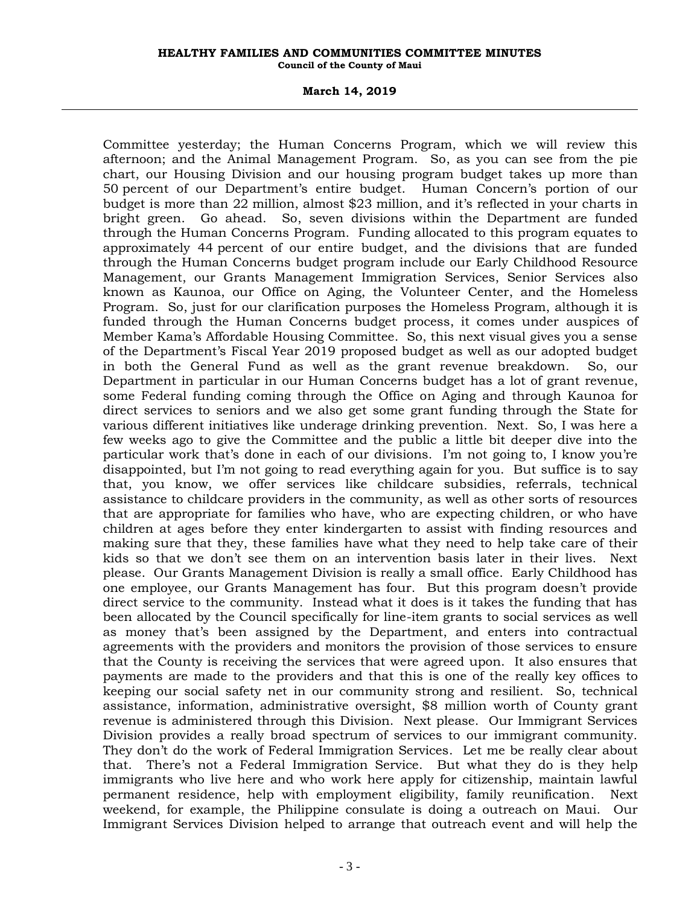#### **March 14, 2019**

Committee yesterday; the Human Concerns Program, which we will review this afternoon; and the Animal Management Program. So, as you can see from the pie chart, our Housing Division and our housing program budget takes up more than 50 percent of our Department's entire budget. Human Concern's portion of our budget is more than 22 million, almost \$23 million, and it's reflected in your charts in bright green. Go ahead. So, seven divisions within the Department are funded through the Human Concerns Program. Funding allocated to this program equates to approximately 44 percent of our entire budget, and the divisions that are funded through the Human Concerns budget program include our Early Childhood Resource Management, our Grants Management Immigration Services, Senior Services also known as Kaunoa, our Office on Aging, the Volunteer Center, and the Homeless Program. So, just for our clarification purposes the Homeless Program, although it is funded through the Human Concerns budget process, it comes under auspices of Member Kama's Affordable Housing Committee. So, this next visual gives you a sense of the Department's Fiscal Year 2019 proposed budget as well as our adopted budget in both the General Fund as well as the grant revenue breakdown. So, our Department in particular in our Human Concerns budget has a lot of grant revenue, some Federal funding coming through the Office on Aging and through Kaunoa for direct services to seniors and we also get some grant funding through the State for various different initiatives like underage drinking prevention. Next. So, I was here a few weeks ago to give the Committee and the public a little bit deeper dive into the particular work that's done in each of our divisions. I'm not going to, I know you're disappointed, but I'm not going to read everything again for you. But suffice is to say that, you know, we offer services like childcare subsidies, referrals, technical assistance to childcare providers in the community, as well as other sorts of resources that are appropriate for families who have, who are expecting children, or who have children at ages before they enter kindergarten to assist with finding resources and making sure that they, these families have what they need to help take care of their kids so that we don't see them on an intervention basis later in their lives. Next please. Our Grants Management Division is really a small office. Early Childhood has one employee, our Grants Management has four. But this program doesn't provide direct service to the community. Instead what it does is it takes the funding that has been allocated by the Council specifically for line-item grants to social services as well as money that's been assigned by the Department, and enters into contractual agreements with the providers and monitors the provision of those services to ensure that the County is receiving the services that were agreed upon. It also ensures that payments are made to the providers and that this is one of the really key offices to keeping our social safety net in our community strong and resilient. So, technical assistance, information, administrative oversight, \$8 million worth of County grant revenue is administered through this Division. Next please. Our Immigrant Services Division provides a really broad spectrum of services to our immigrant community. They don't do the work of Federal Immigration Services. Let me be really clear about that. There's not a Federal Immigration Service. But what they do is they help immigrants who live here and who work here apply for citizenship, maintain lawful permanent residence, help with employment eligibility, family reunification. Next weekend, for example, the Philippine consulate is doing a outreach on Maui. Our Immigrant Services Division helped to arrange that outreach event and will help the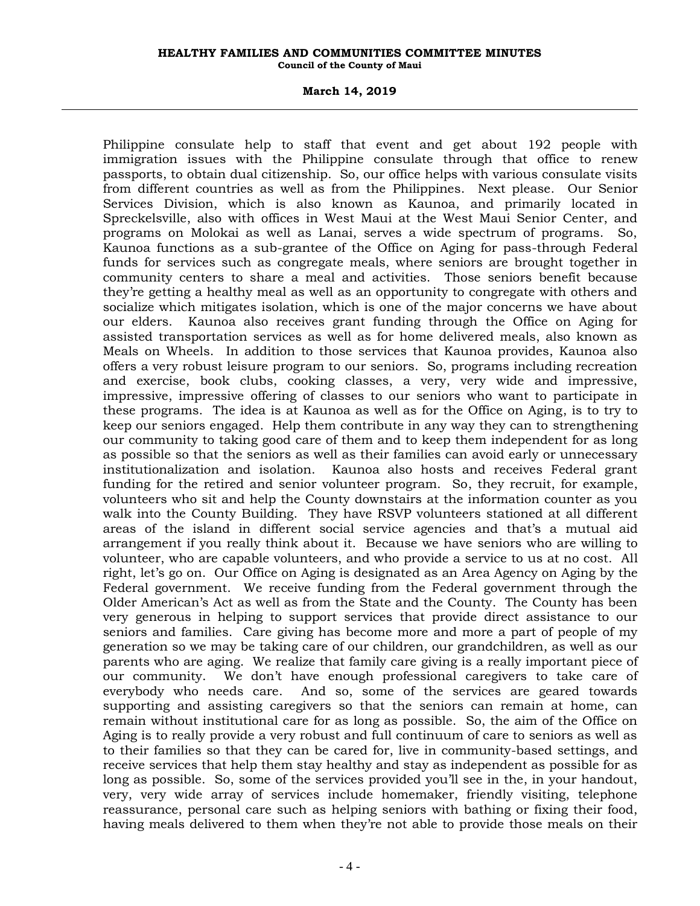#### **March 14, 2019**

Philippine consulate help to staff that event and get about 192 people with immigration issues with the Philippine consulate through that office to renew passports, to obtain dual citizenship. So, our office helps with various consulate visits from different countries as well as from the Philippines. Next please. Our Senior Services Division, which is also known as Kaunoa, and primarily located in Spreckelsville, also with offices in West Maui at the West Maui Senior Center, and programs on Molokai as well as Lanai, serves a wide spectrum of programs. So, Kaunoa functions as a sub-grantee of the Office on Aging for pass-through Federal funds for services such as congregate meals, where seniors are brought together in community centers to share a meal and activities. Those seniors benefit because they're getting a healthy meal as well as an opportunity to congregate with others and socialize which mitigates isolation, which is one of the major concerns we have about our elders. Kaunoa also receives grant funding through the Office on Aging for assisted transportation services as well as for home delivered meals, also known as Meals on Wheels. In addition to those services that Kaunoa provides, Kaunoa also offers a very robust leisure program to our seniors. So, programs including recreation and exercise, book clubs, cooking classes, a very, very wide and impressive, impressive, impressive offering of classes to our seniors who want to participate in these programs. The idea is at Kaunoa as well as for the Office on Aging, is to try to keep our seniors engaged. Help them contribute in any way they can to strengthening our community to taking good care of them and to keep them independent for as long as possible so that the seniors as well as their families can avoid early or unnecessary institutionalization and isolation. Kaunoa also hosts and receives Federal grant funding for the retired and senior volunteer program. So, they recruit, for example, volunteers who sit and help the County downstairs at the information counter as you walk into the County Building. They have RSVP volunteers stationed at all different areas of the island in different social service agencies and that's a mutual aid arrangement if you really think about it. Because we have seniors who are willing to volunteer, who are capable volunteers, and who provide a service to us at no cost. All right, let's go on. Our Office on Aging is designated as an Area Agency on Aging by the Federal government. We receive funding from the Federal government through the Older American's Act as well as from the State and the County. The County has been very generous in helping to support services that provide direct assistance to our seniors and families. Care giving has become more and more a part of people of my generation so we may be taking care of our children, our grandchildren, as well as our parents who are aging. We realize that family care giving is a really important piece of our community. We don't have enough professional caregivers to take care of everybody who needs care. And so, some of the services are geared towards supporting and assisting caregivers so that the seniors can remain at home, can remain without institutional care for as long as possible. So, the aim of the Office on Aging is to really provide a very robust and full continuum of care to seniors as well as to their families so that they can be cared for, live in community-based settings, and receive services that help them stay healthy and stay as independent as possible for as long as possible. So, some of the services provided you'll see in the, in your handout, very, very wide array of services include homemaker, friendly visiting, telephone reassurance, personal care such as helping seniors with bathing or fixing their food, having meals delivered to them when they're not able to provide those meals on their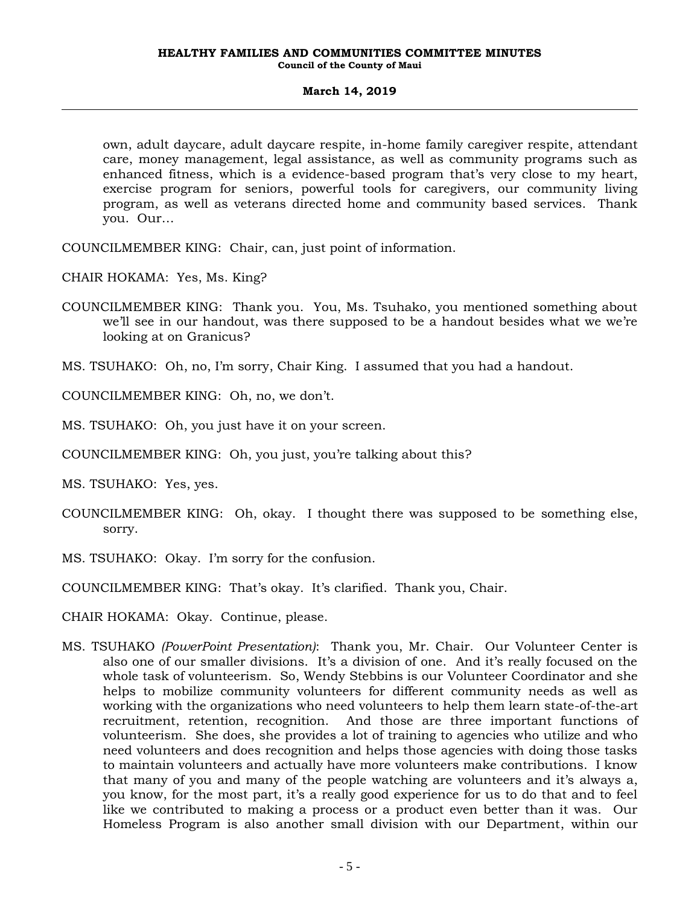own, adult daycare, adult daycare respite, in-home family caregiver respite, attendant care, money management, legal assistance, as well as community programs such as enhanced fitness, which is a evidence-based program that's very close to my heart, exercise program for seniors, powerful tools for caregivers, our community living program, as well as veterans directed home and community based services. Thank you. Our…

COUNCILMEMBER KING: Chair, can, just point of information.

CHAIR HOKAMA: Yes, Ms. King?

COUNCILMEMBER KING: Thank you. You, Ms. Tsuhako, you mentioned something about we'll see in our handout, was there supposed to be a handout besides what we we're looking at on Granicus?

MS. TSUHAKO: Oh, no, I'm sorry, Chair King. I assumed that you had a handout.

COUNCILMEMBER KING: Oh, no, we don't.

MS. TSUHAKO: Oh, you just have it on your screen.

COUNCILMEMBER KING: Oh, you just, you're talking about this?

MS. TSUHAKO: Yes, yes.

- COUNCILMEMBER KING: Oh, okay. I thought there was supposed to be something else, sorry.
- MS. TSUHAKO: Okay. I'm sorry for the confusion.
- COUNCILMEMBER KING: That's okay. It's clarified. Thank you, Chair.

CHAIR HOKAMA: Okay. Continue, please.

MS. TSUHAKO *(PowerPoint Presentation)*: Thank you, Mr. Chair. Our Volunteer Center is also one of our smaller divisions. It's a division of one. And it's really focused on the whole task of volunteerism. So, Wendy Stebbins is our Volunteer Coordinator and she helps to mobilize community volunteers for different community needs as well as working with the organizations who need volunteers to help them learn state-of-the-art recruitment, retention, recognition. And those are three important functions of volunteerism. She does, she provides a lot of training to agencies who utilize and who need volunteers and does recognition and helps those agencies with doing those tasks to maintain volunteers and actually have more volunteers make contributions. I know that many of you and many of the people watching are volunteers and it's always a, you know, for the most part, it's a really good experience for us to do that and to feel like we contributed to making a process or a product even better than it was. Our Homeless Program is also another small division with our Department, within our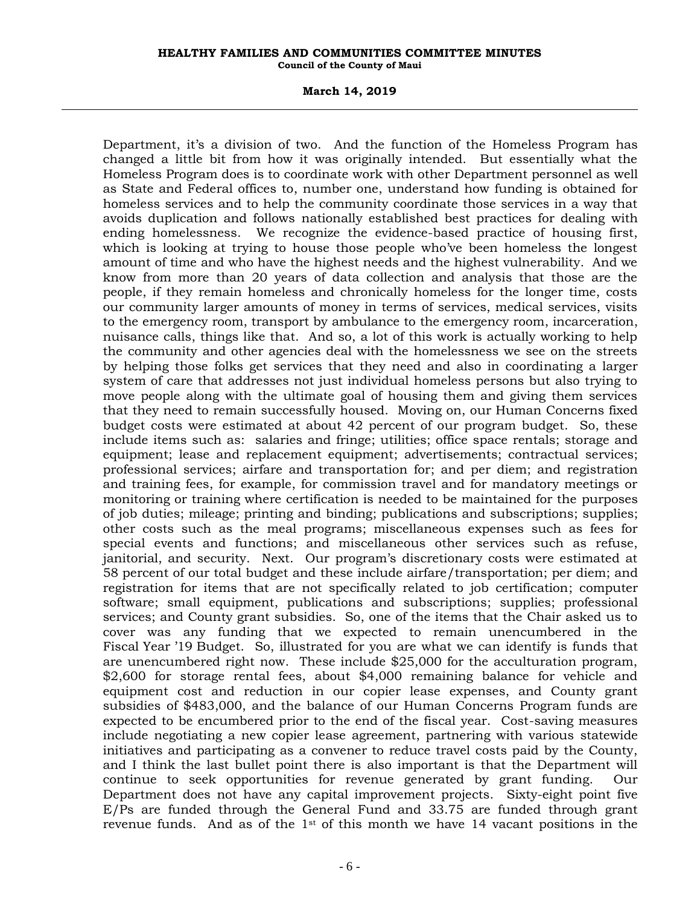#### **March 14, 2019**

Department, it's a division of two. And the function of the Homeless Program has changed a little bit from how it was originally intended. But essentially what the Homeless Program does is to coordinate work with other Department personnel as well as State and Federal offices to, number one, understand how funding is obtained for homeless services and to help the community coordinate those services in a way that avoids duplication and follows nationally established best practices for dealing with ending homelessness. We recognize the evidence-based practice of housing first, which is looking at trying to house those people who've been homeless the longest amount of time and who have the highest needs and the highest vulnerability. And we know from more than 20 years of data collection and analysis that those are the people, if they remain homeless and chronically homeless for the longer time, costs our community larger amounts of money in terms of services, medical services, visits to the emergency room, transport by ambulance to the emergency room, incarceration, nuisance calls, things like that. And so, a lot of this work is actually working to help the community and other agencies deal with the homelessness we see on the streets by helping those folks get services that they need and also in coordinating a larger system of care that addresses not just individual homeless persons but also trying to move people along with the ultimate goal of housing them and giving them services that they need to remain successfully housed. Moving on, our Human Concerns fixed budget costs were estimated at about 42 percent of our program budget. So, these include items such as: salaries and fringe; utilities; office space rentals; storage and equipment; lease and replacement equipment; advertisements; contractual services; professional services; airfare and transportation for; and per diem; and registration and training fees, for example, for commission travel and for mandatory meetings or monitoring or training where certification is needed to be maintained for the purposes of job duties; mileage; printing and binding; publications and subscriptions; supplies; other costs such as the meal programs; miscellaneous expenses such as fees for special events and functions; and miscellaneous other services such as refuse, janitorial, and security. Next. Our program's discretionary costs were estimated at 58 percent of our total budget and these include airfare/transportation; per diem; and registration for items that are not specifically related to job certification; computer software; small equipment, publications and subscriptions; supplies; professional services; and County grant subsidies. So, one of the items that the Chair asked us to cover was any funding that we expected to remain unencumbered in the Fiscal Year '19 Budget. So, illustrated for you are what we can identify is funds that are unencumbered right now. These include \$25,000 for the acculturation program, \$2,600 for storage rental fees, about \$4,000 remaining balance for vehicle and equipment cost and reduction in our copier lease expenses, and County grant subsidies of \$483,000, and the balance of our Human Concerns Program funds are expected to be encumbered prior to the end of the fiscal year. Cost-saving measures include negotiating a new copier lease agreement, partnering with various statewide initiatives and participating as a convener to reduce travel costs paid by the County, and I think the last bullet point there is also important is that the Department will continue to seek opportunities for revenue generated by grant funding. Our Department does not have any capital improvement projects. Sixty-eight point five E/Ps are funded through the General Fund and 33.75 are funded through grant revenue funds. And as of the  $1<sup>st</sup>$  of this month we have 14 vacant positions in the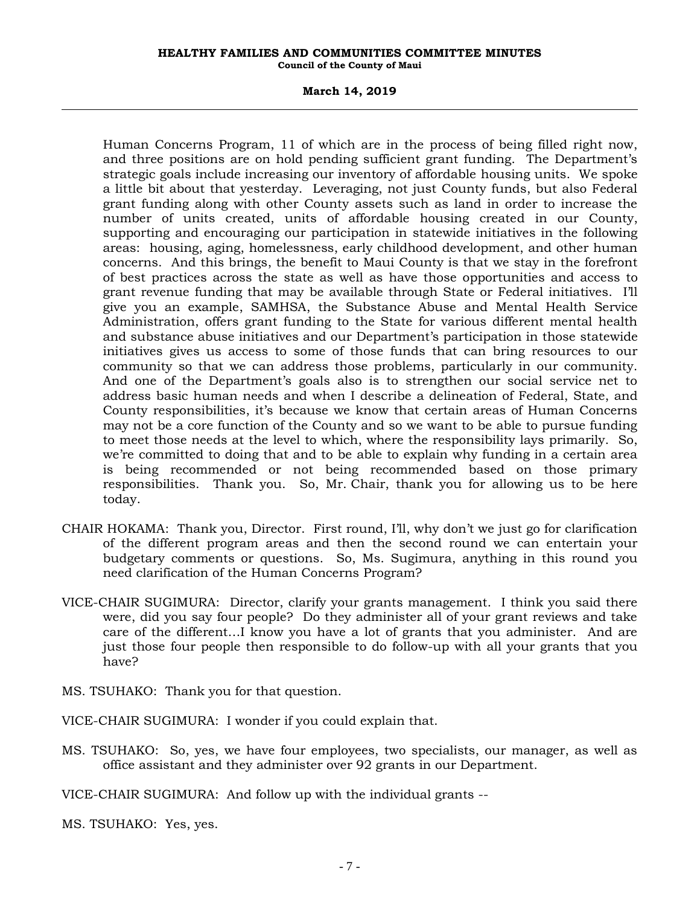#### **March 14, 2019**

Human Concerns Program, 11 of which are in the process of being filled right now, and three positions are on hold pending sufficient grant funding. The Department's strategic goals include increasing our inventory of affordable housing units. We spoke a little bit about that yesterday. Leveraging, not just County funds, but also Federal grant funding along with other County assets such as land in order to increase the number of units created, units of affordable housing created in our County, supporting and encouraging our participation in statewide initiatives in the following areas: housing, aging, homelessness, early childhood development, and other human concerns. And this brings, the benefit to Maui County is that we stay in the forefront of best practices across the state as well as have those opportunities and access to grant revenue funding that may be available through State or Federal initiatives. I'll give you an example, SAMHSA, the Substance Abuse and Mental Health Service Administration, offers grant funding to the State for various different mental health and substance abuse initiatives and our Department's participation in those statewide initiatives gives us access to some of those funds that can bring resources to our community so that we can address those problems, particularly in our community. And one of the Department's goals also is to strengthen our social service net to address basic human needs and when I describe a delineation of Federal, State, and County responsibilities, it's because we know that certain areas of Human Concerns may not be a core function of the County and so we want to be able to pursue funding to meet those needs at the level to which, where the responsibility lays primarily. So, we're committed to doing that and to be able to explain why funding in a certain area is being recommended or not being recommended based on those primary responsibilities. Thank you. So, Mr. Chair, thank you for allowing us to be here today.

- CHAIR HOKAMA: Thank you, Director. First round, I'll, why don't we just go for clarification of the different program areas and then the second round we can entertain your budgetary comments or questions. So, Ms. Sugimura, anything in this round you need clarification of the Human Concerns Program?
- VICE-CHAIR SUGIMURA: Director, clarify your grants management. I think you said there were, did you say four people? Do they administer all of your grant reviews and take care of the different…I know you have a lot of grants that you administer. And are just those four people then responsible to do follow-up with all your grants that you have?
- MS. TSUHAKO: Thank you for that question.

VICE-CHAIR SUGIMURA: I wonder if you could explain that.

MS. TSUHAKO: So, yes, we have four employees, two specialists, our manager, as well as office assistant and they administer over 92 grants in our Department.

VICE-CHAIR SUGIMURA: And follow up with the individual grants --

MS. TSUHAKO: Yes, yes.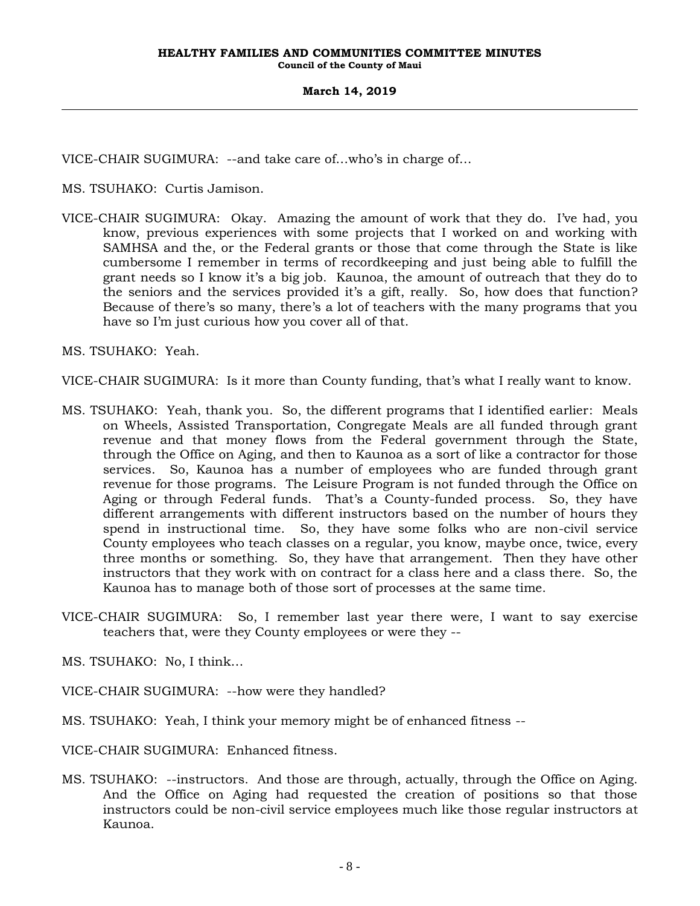VICE-CHAIR SUGIMURA: --and take care of…who's in charge of…

MS. TSUHAKO: Curtis Jamison.

VICE-CHAIR SUGIMURA: Okay. Amazing the amount of work that they do. I've had, you know, previous experiences with some projects that I worked on and working with SAMHSA and the, or the Federal grants or those that come through the State is like cumbersome I remember in terms of recordkeeping and just being able to fulfill the grant needs so I know it's a big job. Kaunoa, the amount of outreach that they do to the seniors and the services provided it's a gift, really. So, how does that function? Because of there's so many, there's a lot of teachers with the many programs that you have so I'm just curious how you cover all of that.

MS. TSUHAKO: Yeah.

VICE-CHAIR SUGIMURA: Is it more than County funding, that's what I really want to know.

- MS. TSUHAKO: Yeah, thank you. So, the different programs that I identified earlier: Meals on Wheels, Assisted Transportation, Congregate Meals are all funded through grant revenue and that money flows from the Federal government through the State, through the Office on Aging, and then to Kaunoa as a sort of like a contractor for those services. So, Kaunoa has a number of employees who are funded through grant revenue for those programs. The Leisure Program is not funded through the Office on Aging or through Federal funds. That's a County-funded process. So, they have different arrangements with different instructors based on the number of hours they spend in instructional time. So, they have some folks who are non-civil service County employees who teach classes on a regular, you know, maybe once, twice, every three months or something. So, they have that arrangement. Then they have other instructors that they work with on contract for a class here and a class there. So, the Kaunoa has to manage both of those sort of processes at the same time.
- VICE-CHAIR SUGIMURA: So, I remember last year there were, I want to say exercise teachers that, were they County employees or were they --
- MS. TSUHAKO: No, I think…
- VICE-CHAIR SUGIMURA: --how were they handled?
- MS. TSUHAKO: Yeah, I think your memory might be of enhanced fitness --

VICE-CHAIR SUGIMURA: Enhanced fitness.

MS. TSUHAKO: --instructors. And those are through, actually, through the Office on Aging. And the Office on Aging had requested the creation of positions so that those instructors could be non-civil service employees much like those regular instructors at Kaunoa.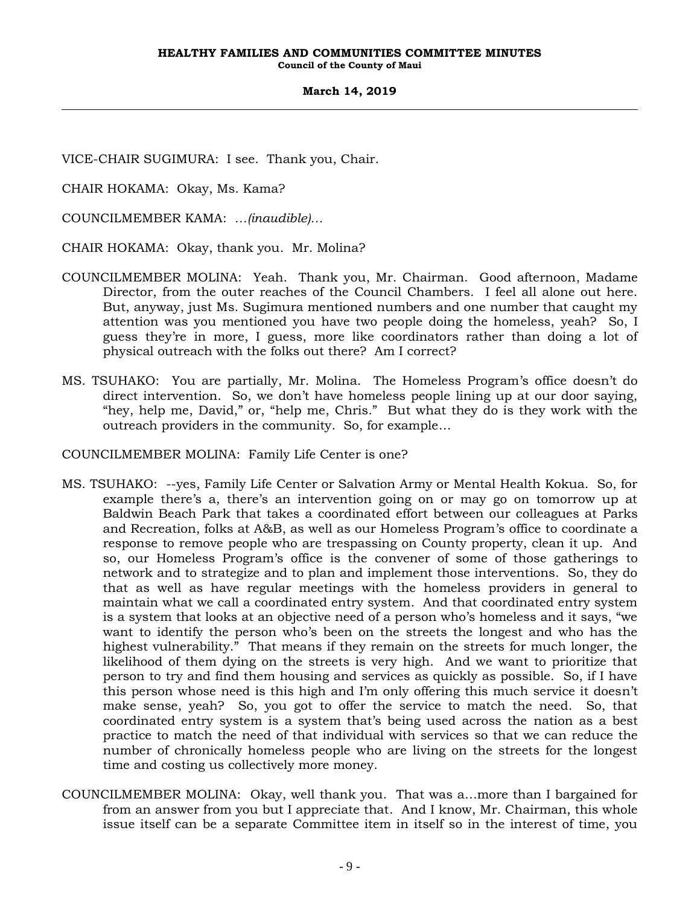VICE-CHAIR SUGIMURA: I see. Thank you, Chair.

CHAIR HOKAMA: Okay, Ms. Kama?

COUNCILMEMBER KAMA: *…(inaudible)…*

CHAIR HOKAMA: Okay, thank you. Mr. Molina?

- COUNCILMEMBER MOLINA: Yeah. Thank you, Mr. Chairman. Good afternoon, Madame Director, from the outer reaches of the Council Chambers. I feel all alone out here. But, anyway, just Ms. Sugimura mentioned numbers and one number that caught my attention was you mentioned you have two people doing the homeless, yeah? So, I guess they're in more, I guess, more like coordinators rather than doing a lot of physical outreach with the folks out there? Am I correct?
- MS. TSUHAKO: You are partially, Mr. Molina. The Homeless Program's office doesn't do direct intervention. So, we don't have homeless people lining up at our door saying, "hey, help me, David," or, "help me, Chris." But what they do is they work with the outreach providers in the community. So, for example…

COUNCILMEMBER MOLINA: Family Life Center is one?

- MS. TSUHAKO: --yes, Family Life Center or Salvation Army or Mental Health Kokua. So, for example there's a, there's an intervention going on or may go on tomorrow up at Baldwin Beach Park that takes a coordinated effort between our colleagues at Parks and Recreation, folks at A&B, as well as our Homeless Program's office to coordinate a response to remove people who are trespassing on County property, clean it up. And so, our Homeless Program's office is the convener of some of those gatherings to network and to strategize and to plan and implement those interventions. So, they do that as well as have regular meetings with the homeless providers in general to maintain what we call a coordinated entry system. And that coordinated entry system is a system that looks at an objective need of a person who's homeless and it says, "we want to identify the person who's been on the streets the longest and who has the highest vulnerability." That means if they remain on the streets for much longer, the likelihood of them dying on the streets is very high. And we want to prioritize that person to try and find them housing and services as quickly as possible. So, if I have this person whose need is this high and I'm only offering this much service it doesn't make sense, yeah? So, you got to offer the service to match the need. So, that coordinated entry system is a system that's being used across the nation as a best practice to match the need of that individual with services so that we can reduce the number of chronically homeless people who are living on the streets for the longest time and costing us collectively more money.
- COUNCILMEMBER MOLINA: Okay, well thank you. That was a…more than I bargained for from an answer from you but I appreciate that. And I know, Mr. Chairman, this whole issue itself can be a separate Committee item in itself so in the interest of time, you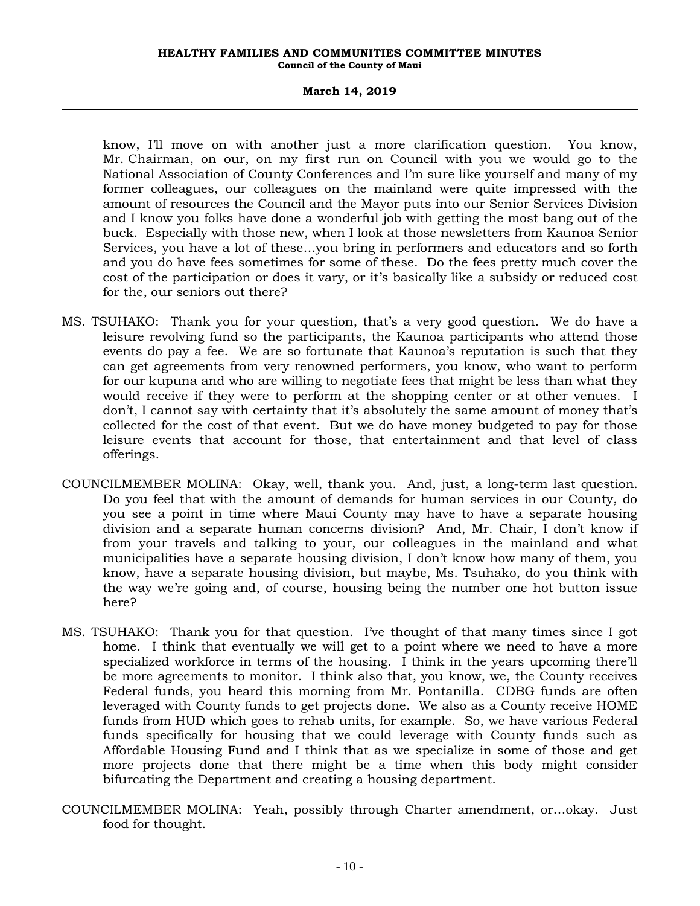#### **March 14, 2019**

know, I'll move on with another just a more clarification question. You know, Mr. Chairman, on our, on my first run on Council with you we would go to the National Association of County Conferences and I'm sure like yourself and many of my former colleagues, our colleagues on the mainland were quite impressed with the amount of resources the Council and the Mayor puts into our Senior Services Division and I know you folks have done a wonderful job with getting the most bang out of the buck. Especially with those new, when I look at those newsletters from Kaunoa Senior Services, you have a lot of these…you bring in performers and educators and so forth and you do have fees sometimes for some of these. Do the fees pretty much cover the cost of the participation or does it vary, or it's basically like a subsidy or reduced cost for the, our seniors out there?

- MS. TSUHAKO: Thank you for your question, that's a very good question. We do have a leisure revolving fund so the participants, the Kaunoa participants who attend those events do pay a fee. We are so fortunate that Kaunoa's reputation is such that they can get agreements from very renowned performers, you know, who want to perform for our kupuna and who are willing to negotiate fees that might be less than what they would receive if they were to perform at the shopping center or at other venues. I don't, I cannot say with certainty that it's absolutely the same amount of money that's collected for the cost of that event. But we do have money budgeted to pay for those leisure events that account for those, that entertainment and that level of class offerings.
- COUNCILMEMBER MOLINA: Okay, well, thank you. And, just, a long-term last question. Do you feel that with the amount of demands for human services in our County, do you see a point in time where Maui County may have to have a separate housing division and a separate human concerns division? And, Mr. Chair, I don't know if from your travels and talking to your, our colleagues in the mainland and what municipalities have a separate housing division, I don't know how many of them, you know, have a separate housing division, but maybe, Ms. Tsuhako, do you think with the way we're going and, of course, housing being the number one hot button issue here?
- MS. TSUHAKO: Thank you for that question. I've thought of that many times since I got home. I think that eventually we will get to a point where we need to have a more specialized workforce in terms of the housing. I think in the years upcoming there'll be more agreements to monitor. I think also that, you know, we, the County receives Federal funds, you heard this morning from Mr. Pontanilla. CDBG funds are often leveraged with County funds to get projects done. We also as a County receive HOME funds from HUD which goes to rehab units, for example. So, we have various Federal funds specifically for housing that we could leverage with County funds such as Affordable Housing Fund and I think that as we specialize in some of those and get more projects done that there might be a time when this body might consider bifurcating the Department and creating a housing department.
- COUNCILMEMBER MOLINA: Yeah, possibly through Charter amendment, or…okay. Just food for thought.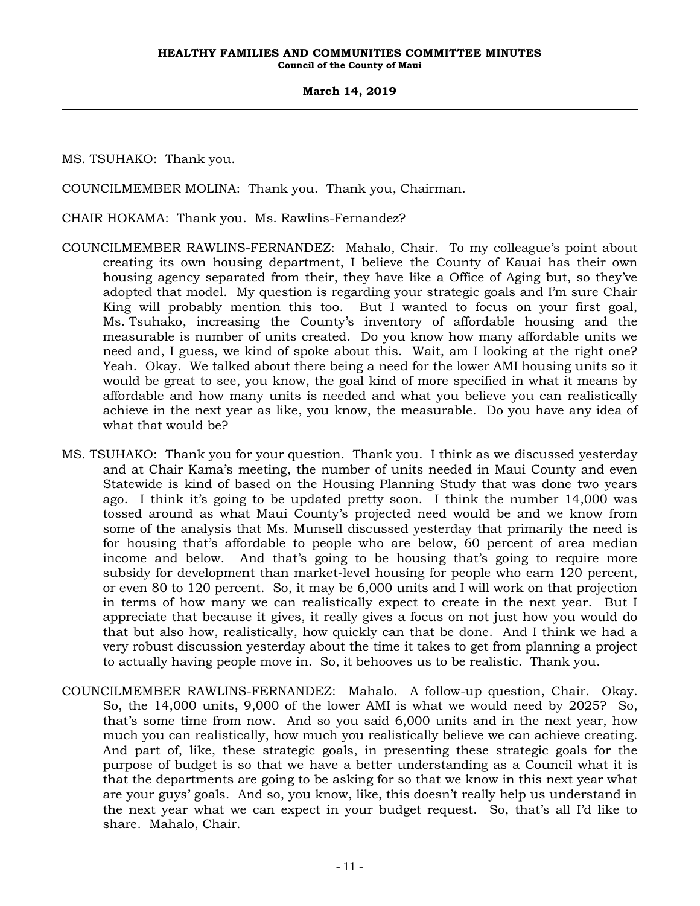MS. TSUHAKO: Thank you.

COUNCILMEMBER MOLINA: Thank you. Thank you, Chairman.

CHAIR HOKAMA: Thank you. Ms. Rawlins-Fernandez?

- COUNCILMEMBER RAWLINS-FERNANDEZ: Mahalo, Chair. To my colleague's point about creating its own housing department, I believe the County of Kauai has their own housing agency separated from their, they have like a Office of Aging but, so they've adopted that model. My question is regarding your strategic goals and I'm sure Chair King will probably mention this too. But I wanted to focus on your first goal, Ms. Tsuhako, increasing the County's inventory of affordable housing and the measurable is number of units created. Do you know how many affordable units we need and, I guess, we kind of spoke about this. Wait, am I looking at the right one? Yeah. Okay. We talked about there being a need for the lower AMI housing units so it would be great to see, you know, the goal kind of more specified in what it means by affordable and how many units is needed and what you believe you can realistically achieve in the next year as like, you know, the measurable. Do you have any idea of what that would be?
- MS. TSUHAKO: Thank you for your question. Thank you. I think as we discussed yesterday and at Chair Kama's meeting, the number of units needed in Maui County and even Statewide is kind of based on the Housing Planning Study that was done two years ago. I think it's going to be updated pretty soon. I think the number 14,000 was tossed around as what Maui County's projected need would be and we know from some of the analysis that Ms. Munsell discussed yesterday that primarily the need is for housing that's affordable to people who are below, 60 percent of area median income and below. And that's going to be housing that's going to require more subsidy for development than market-level housing for people who earn 120 percent, or even 80 to 120 percent. So, it may be 6,000 units and I will work on that projection in terms of how many we can realistically expect to create in the next year. But I appreciate that because it gives, it really gives a focus on not just how you would do that but also how, realistically, how quickly can that be done. And I think we had a very robust discussion yesterday about the time it takes to get from planning a project to actually having people move in. So, it behooves us to be realistic. Thank you.
- COUNCILMEMBER RAWLINS-FERNANDEZ: Mahalo. A follow-up question, Chair. Okay. So, the 14,000 units, 9,000 of the lower AMI is what we would need by 2025? So, that's some time from now. And so you said 6,000 units and in the next year, how much you can realistically, how much you realistically believe we can achieve creating. And part of, like, these strategic goals, in presenting these strategic goals for the purpose of budget is so that we have a better understanding as a Council what it is that the departments are going to be asking for so that we know in this next year what are your guys' goals. And so, you know, like, this doesn't really help us understand in the next year what we can expect in your budget request. So, that's all I'd like to share. Mahalo, Chair.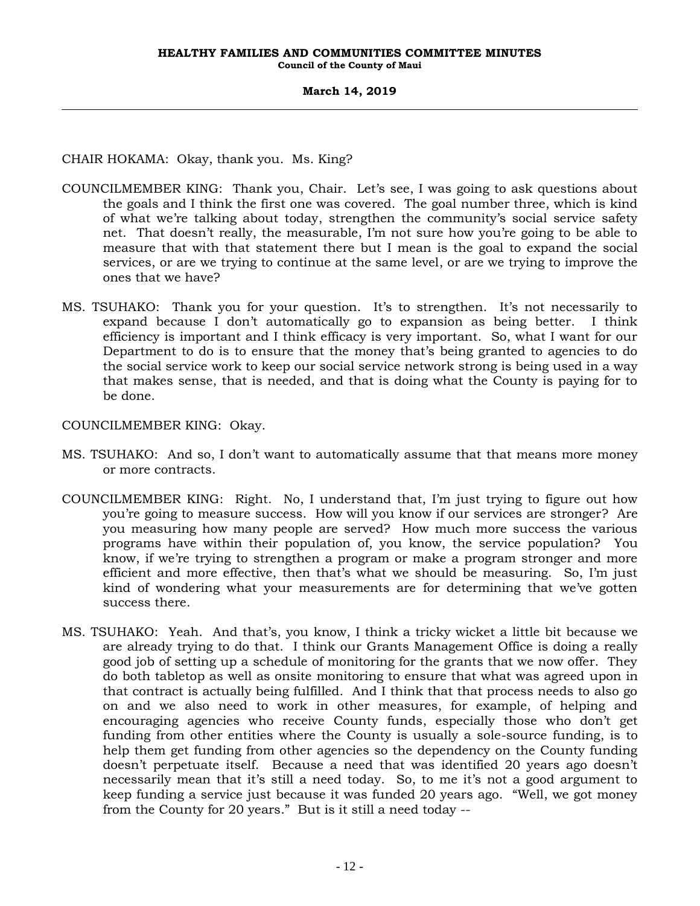CHAIR HOKAMA: Okay, thank you. Ms. King?

- COUNCILMEMBER KING: Thank you, Chair. Let's see, I was going to ask questions about the goals and I think the first one was covered. The goal number three, which is kind of what we're talking about today, strengthen the community's social service safety net. That doesn't really, the measurable, I'm not sure how you're going to be able to measure that with that statement there but I mean is the goal to expand the social services, or are we trying to continue at the same level, or are we trying to improve the ones that we have?
- MS. TSUHAKO: Thank you for your question. It's to strengthen. It's not necessarily to expand because I don't automatically go to expansion as being better. I think efficiency is important and I think efficacy is very important. So, what I want for our Department to do is to ensure that the money that's being granted to agencies to do the social service work to keep our social service network strong is being used in a way that makes sense, that is needed, and that is doing what the County is paying for to be done.

COUNCILMEMBER KING: Okay.

- MS. TSUHAKO: And so, I don't want to automatically assume that that means more money or more contracts.
- COUNCILMEMBER KING: Right. No, I understand that, I'm just trying to figure out how you're going to measure success. How will you know if our services are stronger? Are you measuring how many people are served? How much more success the various programs have within their population of, you know, the service population? You know, if we're trying to strengthen a program or make a program stronger and more efficient and more effective, then that's what we should be measuring. So, I'm just kind of wondering what your measurements are for determining that we've gotten success there.
- MS. TSUHAKO: Yeah. And that's, you know, I think a tricky wicket a little bit because we are already trying to do that. I think our Grants Management Office is doing a really good job of setting up a schedule of monitoring for the grants that we now offer. They do both tabletop as well as onsite monitoring to ensure that what was agreed upon in that contract is actually being fulfilled. And I think that that process needs to also go on and we also need to work in other measures, for example, of helping and encouraging agencies who receive County funds, especially those who don't get funding from other entities where the County is usually a sole-source funding, is to help them get funding from other agencies so the dependency on the County funding doesn't perpetuate itself. Because a need that was identified 20 years ago doesn't necessarily mean that it's still a need today. So, to me it's not a good argument to keep funding a service just because it was funded 20 years ago. "Well, we got money from the County for 20 years." But is it still a need today --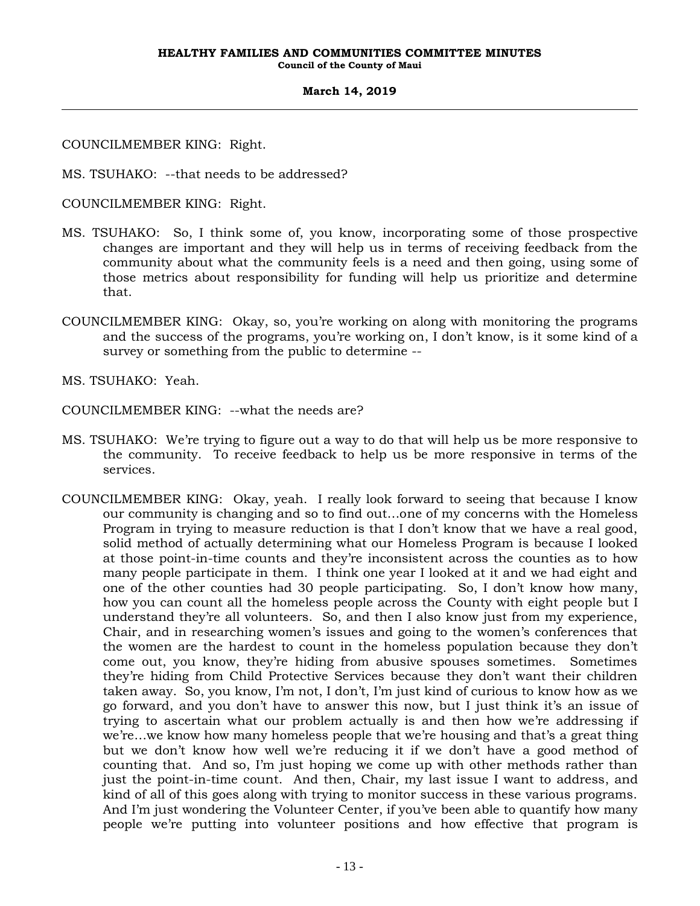COUNCILMEMBER KING: Right.

MS. TSUHAKO: --that needs to be addressed?

COUNCILMEMBER KING: Right.

- MS. TSUHAKO: So, I think some of, you know, incorporating some of those prospective changes are important and they will help us in terms of receiving feedback from the community about what the community feels is a need and then going, using some of those metrics about responsibility for funding will help us prioritize and determine that.
- COUNCILMEMBER KING: Okay, so, you're working on along with monitoring the programs and the success of the programs, you're working on, I don't know, is it some kind of a survey or something from the public to determine --

MS. TSUHAKO: Yeah.

COUNCILMEMBER KING: --what the needs are?

- MS. TSUHAKO: We're trying to figure out a way to do that will help us be more responsive to the community. To receive feedback to help us be more responsive in terms of the services.
- COUNCILMEMBER KING: Okay, yeah. I really look forward to seeing that because I know our community is changing and so to find out…one of my concerns with the Homeless Program in trying to measure reduction is that I don't know that we have a real good, solid method of actually determining what our Homeless Program is because I looked at those point-in-time counts and they're inconsistent across the counties as to how many people participate in them. I think one year I looked at it and we had eight and one of the other counties had 30 people participating. So, I don't know how many, how you can count all the homeless people across the County with eight people but I understand they're all volunteers. So, and then I also know just from my experience, Chair, and in researching women's issues and going to the women's conferences that the women are the hardest to count in the homeless population because they don't come out, you know, they're hiding from abusive spouses sometimes. Sometimes they're hiding from Child Protective Services because they don't want their children taken away. So, you know, I'm not, I don't, I'm just kind of curious to know how as we go forward, and you don't have to answer this now, but I just think it's an issue of trying to ascertain what our problem actually is and then how we're addressing if we're…we know how many homeless people that we're housing and that's a great thing but we don't know how well we're reducing it if we don't have a good method of counting that. And so, I'm just hoping we come up with other methods rather than just the point-in-time count. And then, Chair, my last issue I want to address, and kind of all of this goes along with trying to monitor success in these various programs. And I'm just wondering the Volunteer Center, if you've been able to quantify how many people we're putting into volunteer positions and how effective that program is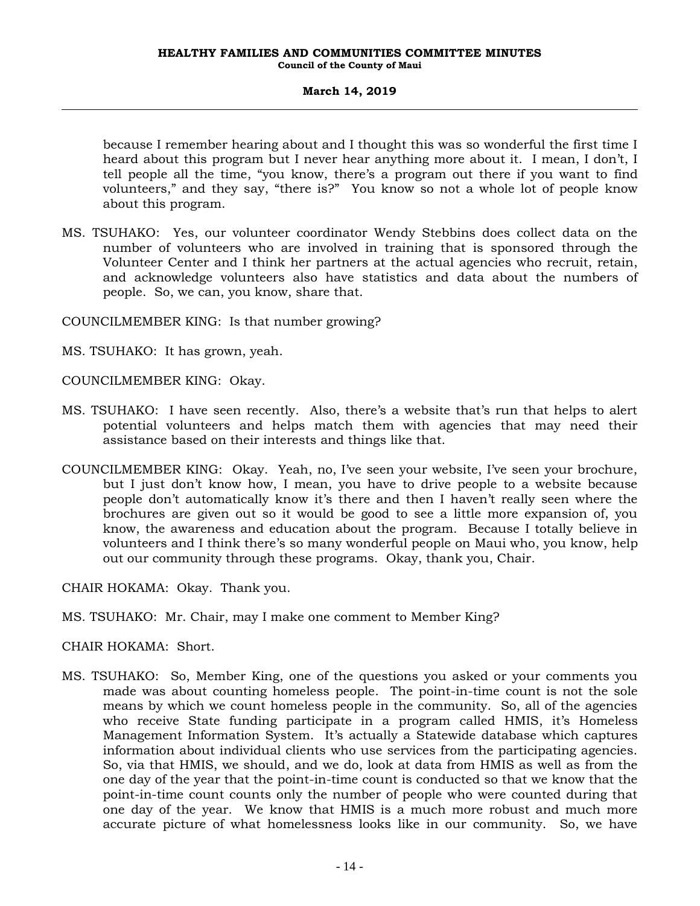because I remember hearing about and I thought this was so wonderful the first time I heard about this program but I never hear anything more about it. I mean, I don't, I tell people all the time, "you know, there's a program out there if you want to find volunteers," and they say, "there is?" You know so not a whole lot of people know about this program.

MS. TSUHAKO: Yes, our volunteer coordinator Wendy Stebbins does collect data on the number of volunteers who are involved in training that is sponsored through the Volunteer Center and I think her partners at the actual agencies who recruit, retain, and acknowledge volunteers also have statistics and data about the numbers of people. So, we can, you know, share that.

COUNCILMEMBER KING: Is that number growing?

MS. TSUHAKO: It has grown, yeah.

COUNCILMEMBER KING: Okay.

- MS. TSUHAKO: I have seen recently. Also, there's a website that's run that helps to alert potential volunteers and helps match them with agencies that may need their assistance based on their interests and things like that.
- COUNCILMEMBER KING: Okay. Yeah, no, I've seen your website, I've seen your brochure, but I just don't know how, I mean, you have to drive people to a website because people don't automatically know it's there and then I haven't really seen where the brochures are given out so it would be good to see a little more expansion of, you know, the awareness and education about the program. Because I totally believe in volunteers and I think there's so many wonderful people on Maui who, you know, help out our community through these programs. Okay, thank you, Chair.

CHAIR HOKAMA: Okay. Thank you.

MS. TSUHAKO: Mr. Chair, may I make one comment to Member King?

CHAIR HOKAMA: Short.

MS. TSUHAKO: So, Member King, one of the questions you asked or your comments you made was about counting homeless people. The point-in-time count is not the sole means by which we count homeless people in the community. So, all of the agencies who receive State funding participate in a program called HMIS, it's Homeless Management Information System. It's actually a Statewide database which captures information about individual clients who use services from the participating agencies. So, via that HMIS, we should, and we do, look at data from HMIS as well as from the one day of the year that the point-in-time count is conducted so that we know that the point-in-time count counts only the number of people who were counted during that one day of the year. We know that HMIS is a much more robust and much more accurate picture of what homelessness looks like in our community. So, we have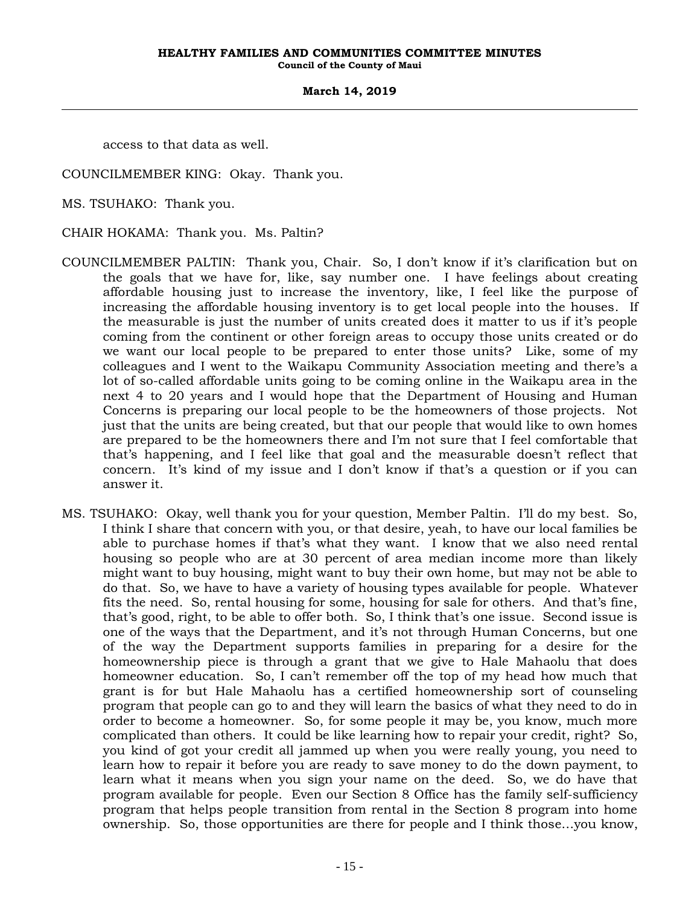access to that data as well.

COUNCILMEMBER KING: Okay. Thank you.

MS. TSUHAKO: Thank you.

CHAIR HOKAMA: Thank you. Ms. Paltin?

- COUNCILMEMBER PALTIN: Thank you, Chair. So, I don't know if it's clarification but on the goals that we have for, like, say number one. I have feelings about creating affordable housing just to increase the inventory, like, I feel like the purpose of increasing the affordable housing inventory is to get local people into the houses. If the measurable is just the number of units created does it matter to us if it's people coming from the continent or other foreign areas to occupy those units created or do we want our local people to be prepared to enter those units? Like, some of my colleagues and I went to the Waikapu Community Association meeting and there's a lot of so-called affordable units going to be coming online in the Waikapu area in the next 4 to 20 years and I would hope that the Department of Housing and Human Concerns is preparing our local people to be the homeowners of those projects. Not just that the units are being created, but that our people that would like to own homes are prepared to be the homeowners there and I'm not sure that I feel comfortable that that's happening, and I feel like that goal and the measurable doesn't reflect that concern. It's kind of my issue and I don't know if that's a question or if you can answer it.
- MS. TSUHAKO: Okay, well thank you for your question, Member Paltin. I'll do my best. So, I think I share that concern with you, or that desire, yeah, to have our local families be able to purchase homes if that's what they want. I know that we also need rental housing so people who are at 30 percent of area median income more than likely might want to buy housing, might want to buy their own home, but may not be able to do that. So, we have to have a variety of housing types available for people. Whatever fits the need. So, rental housing for some, housing for sale for others. And that's fine, that's good, right, to be able to offer both. So, I think that's one issue. Second issue is one of the ways that the Department, and it's not through Human Concerns, but one of the way the Department supports families in preparing for a desire for the homeownership piece is through a grant that we give to Hale Mahaolu that does homeowner education. So, I can't remember off the top of my head how much that grant is for but Hale Mahaolu has a certified homeownership sort of counseling program that people can go to and they will learn the basics of what they need to do in order to become a homeowner. So, for some people it may be, you know, much more complicated than others. It could be like learning how to repair your credit, right? So, you kind of got your credit all jammed up when you were really young, you need to learn how to repair it before you are ready to save money to do the down payment, to learn what it means when you sign your name on the deed. So, we do have that program available for people. Even our Section 8 Office has the family self-sufficiency program that helps people transition from rental in the Section 8 program into home ownership. So, those opportunities are there for people and I think those…you know,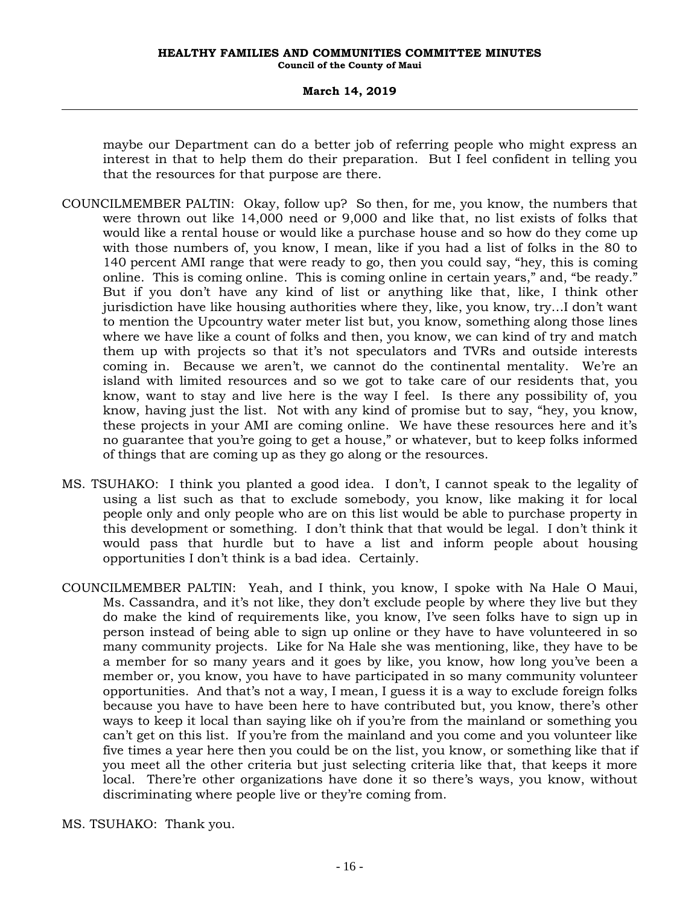maybe our Department can do a better job of referring people who might express an interest in that to help them do their preparation. But I feel confident in telling you that the resources for that purpose are there.

- COUNCILMEMBER PALTIN: Okay, follow up? So then, for me, you know, the numbers that were thrown out like 14,000 need or 9,000 and like that, no list exists of folks that would like a rental house or would like a purchase house and so how do they come up with those numbers of, you know, I mean, like if you had a list of folks in the 80 to 140 percent AMI range that were ready to go, then you could say, "hey, this is coming online. This is coming online. This is coming online in certain years," and, "be ready." But if you don't have any kind of list or anything like that, like, I think other jurisdiction have like housing authorities where they, like, you know, try…I don't want to mention the Upcountry water meter list but, you know, something along those lines where we have like a count of folks and then, you know, we can kind of try and match them up with projects so that it's not speculators and TVRs and outside interests coming in. Because we aren't, we cannot do the continental mentality. We're an island with limited resources and so we got to take care of our residents that, you know, want to stay and live here is the way I feel. Is there any possibility of, you know, having just the list. Not with any kind of promise but to say, "hey, you know, these projects in your AMI are coming online. We have these resources here and it's no guarantee that you're going to get a house," or whatever, but to keep folks informed of things that are coming up as they go along or the resources.
- MS. TSUHAKO: I think you planted a good idea. I don't, I cannot speak to the legality of using a list such as that to exclude somebody, you know, like making it for local people only and only people who are on this list would be able to purchase property in this development or something. I don't think that that would be legal. I don't think it would pass that hurdle but to have a list and inform people about housing opportunities I don't think is a bad idea. Certainly.
- COUNCILMEMBER PALTIN: Yeah, and I think, you know, I spoke with Na Hale O Maui, Ms. Cassandra, and it's not like, they don't exclude people by where they live but they do make the kind of requirements like, you know, I've seen folks have to sign up in person instead of being able to sign up online or they have to have volunteered in so many community projects. Like for Na Hale she was mentioning, like, they have to be a member for so many years and it goes by like, you know, how long you've been a member or, you know, you have to have participated in so many community volunteer opportunities. And that's not a way, I mean, I guess it is a way to exclude foreign folks because you have to have been here to have contributed but, you know, there's other ways to keep it local than saying like oh if you're from the mainland or something you can't get on this list. If you're from the mainland and you come and you volunteer like five times a year here then you could be on the list, you know, or something like that if you meet all the other criteria but just selecting criteria like that, that keeps it more local. There're other organizations have done it so there's ways, you know, without discriminating where people live or they're coming from.
- MS. TSUHAKO: Thank you.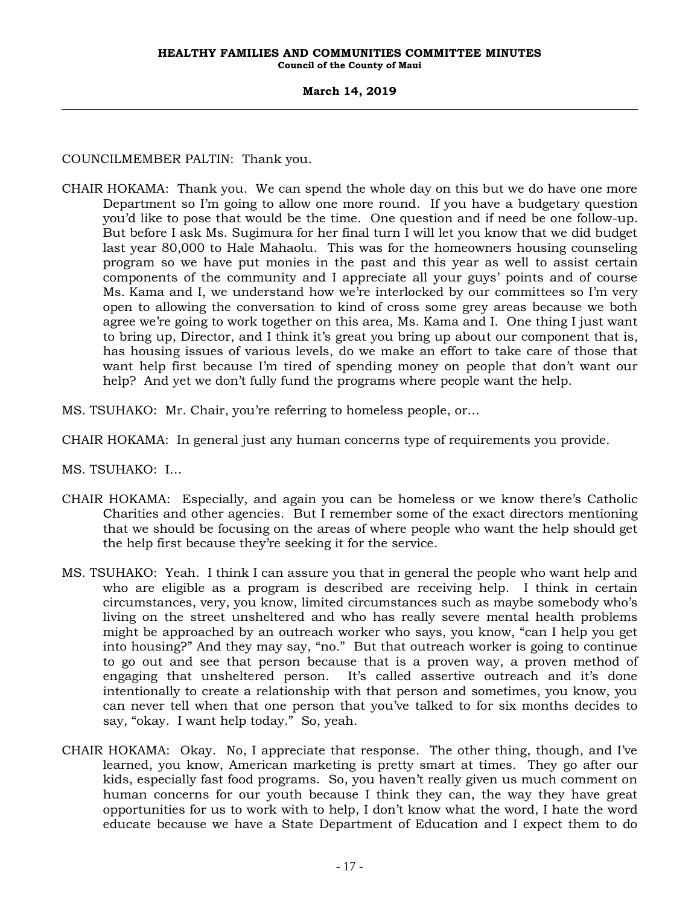COUNCILMEMBER PALTIN: Thank you.

- CHAIR HOKAMA: Thank you. We can spend the whole day on this but we do have one more Department so I'm going to allow one more round. If you have a budgetary question you'd like to pose that would be the time. One question and if need be one follow-up. But before I ask Ms. Sugimura for her final turn I will let you know that we did budget last year 80,000 to Hale Mahaolu. This was for the homeowners housing counseling program so we have put monies in the past and this year as well to assist certain components of the community and I appreciate all your guys' points and of course Ms. Kama and I, we understand how we're interlocked by our committees so I'm very open to allowing the conversation to kind of cross some grey areas because we both agree we're going to work together on this area, Ms. Kama and I. One thing I just want to bring up, Director, and I think it's great you bring up about our component that is, has housing issues of various levels, do we make an effort to take care of those that want help first because I'm tired of spending money on people that don't want our help? And yet we don't fully fund the programs where people want the help.
- MS. TSUHAKO: Mr. Chair, you're referring to homeless people, or…
- CHAIR HOKAMA: In general just any human concerns type of requirements you provide.
- MS. TSUHAKO: I…
- CHAIR HOKAMA: Especially, and again you can be homeless or we know there's Catholic Charities and other agencies. But I remember some of the exact directors mentioning that we should be focusing on the areas of where people who want the help should get the help first because they're seeking it for the service.
- MS. TSUHAKO: Yeah. I think I can assure you that in general the people who want help and who are eligible as a program is described are receiving help. I think in certain circumstances, very, you know, limited circumstances such as maybe somebody who's living on the street unsheltered and who has really severe mental health problems might be approached by an outreach worker who says, you know, "can I help you get into housing?" And they may say, "no." But that outreach worker is going to continue to go out and see that person because that is a proven way, a proven method of engaging that unsheltered person. It's called assertive outreach and it's done intentionally to create a relationship with that person and sometimes, you know, you can never tell when that one person that you've talked to for six months decides to say, "okay. I want help today." So, yeah.
- CHAIR HOKAMA: Okay. No, I appreciate that response. The other thing, though, and I've learned, you know, American marketing is pretty smart at times. They go after our kids, especially fast food programs. So, you haven't really given us much comment on human concerns for our youth because I think they can, the way they have great opportunities for us to work with to help, I don't know what the word, I hate the word educate because we have a State Department of Education and I expect them to do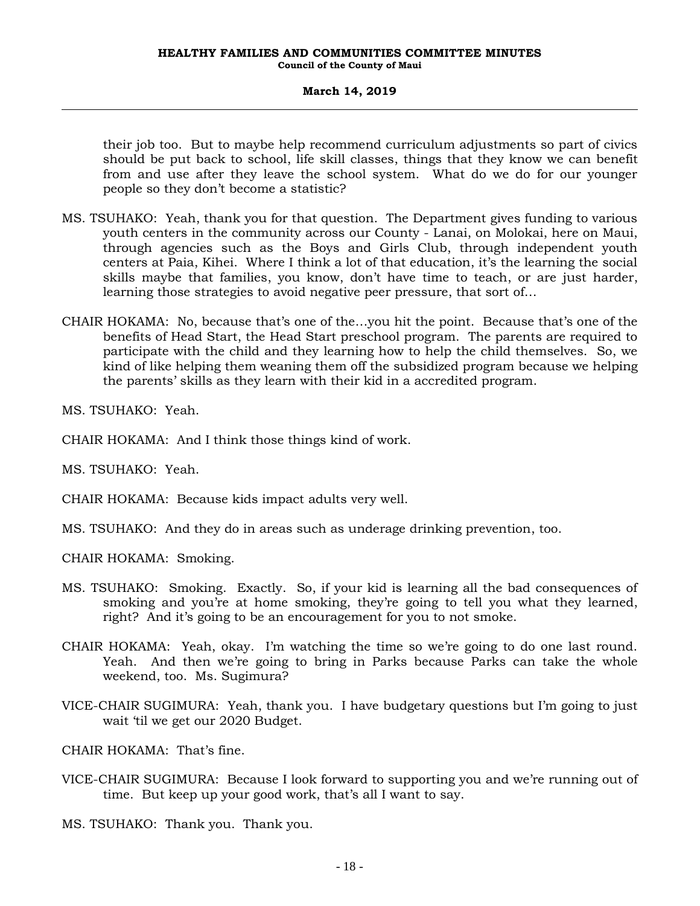their job too. But to maybe help recommend curriculum adjustments so part of civics should be put back to school, life skill classes, things that they know we can benefit from and use after they leave the school system. What do we do for our younger people so they don't become a statistic?

- MS. TSUHAKO: Yeah, thank you for that question. The Department gives funding to various youth centers in the community across our County - Lanai, on Molokai, here on Maui, through agencies such as the Boys and Girls Club, through independent youth centers at Paia, Kihei. Where I think a lot of that education, it's the learning the social skills maybe that families, you know, don't have time to teach, or are just harder, learning those strategies to avoid negative peer pressure, that sort of…
- CHAIR HOKAMA: No, because that's one of the…you hit the point. Because that's one of the benefits of Head Start, the Head Start preschool program. The parents are required to participate with the child and they learning how to help the child themselves. So, we kind of like helping them weaning them off the subsidized program because we helping the parents' skills as they learn with their kid in a accredited program.

MS. TSUHAKO: Yeah.

CHAIR HOKAMA: And I think those things kind of work.

MS. TSUHAKO: Yeah.

- CHAIR HOKAMA: Because kids impact adults very well.
- MS. TSUHAKO: And they do in areas such as underage drinking prevention, too.
- CHAIR HOKAMA: Smoking.
- MS. TSUHAKO: Smoking. Exactly. So, if your kid is learning all the bad consequences of smoking and you're at home smoking, they're going to tell you what they learned, right? And it's going to be an encouragement for you to not smoke.
- CHAIR HOKAMA: Yeah, okay. I'm watching the time so we're going to do one last round. Yeah. And then we're going to bring in Parks because Parks can take the whole weekend, too. Ms. Sugimura?
- VICE-CHAIR SUGIMURA: Yeah, thank you. I have budgetary questions but I'm going to just wait 'til we get our 2020 Budget.

CHAIR HOKAMA: That's fine.

VICE-CHAIR SUGIMURA: Because I look forward to supporting you and we're running out of time. But keep up your good work, that's all I want to say.

MS. TSUHAKO: Thank you. Thank you.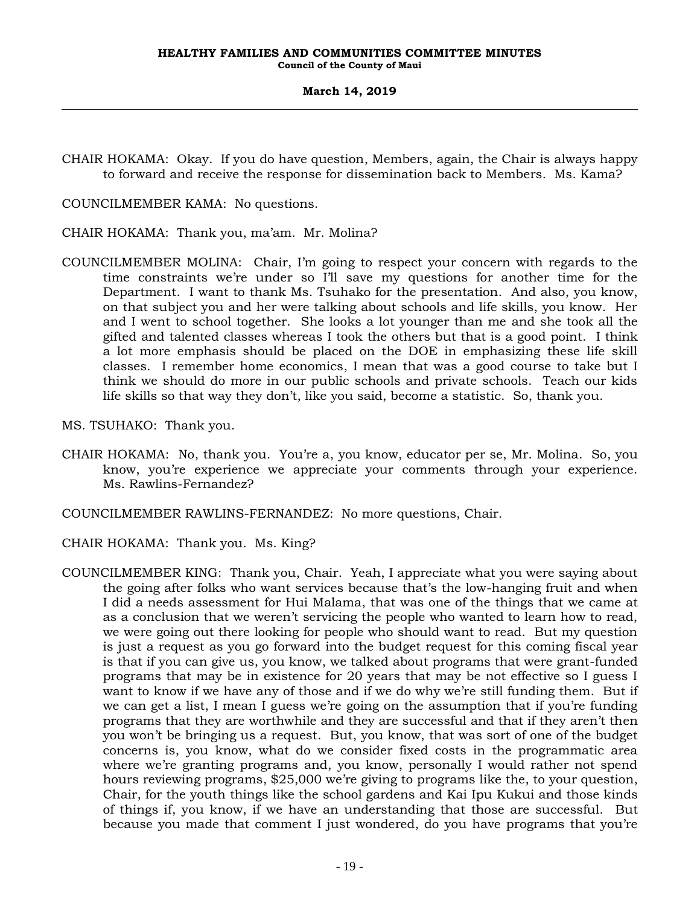CHAIR HOKAMA: Okay. If you do have question, Members, again, the Chair is always happy to forward and receive the response for dissemination back to Members. Ms. Kama?

COUNCILMEMBER KAMA: No questions.

CHAIR HOKAMA: Thank you, ma'am. Mr. Molina?

- COUNCILMEMBER MOLINA: Chair, I'm going to respect your concern with regards to the time constraints we're under so I'll save my questions for another time for the Department. I want to thank Ms. Tsuhako for the presentation. And also, you know, on that subject you and her were talking about schools and life skills, you know. Her and I went to school together. She looks a lot younger than me and she took all the gifted and talented classes whereas I took the others but that is a good point. I think a lot more emphasis should be placed on the DOE in emphasizing these life skill classes. I remember home economics, I mean that was a good course to take but I think we should do more in our public schools and private schools. Teach our kids life skills so that way they don't, like you said, become a statistic. So, thank you.
- MS. TSUHAKO: Thank you.
- CHAIR HOKAMA: No, thank you. You're a, you know, educator per se, Mr. Molina. So, you know, you're experience we appreciate your comments through your experience. Ms. Rawlins-Fernandez?
- COUNCILMEMBER RAWLINS-FERNANDEZ: No more questions, Chair.
- CHAIR HOKAMA: Thank you. Ms. King?
- COUNCILMEMBER KING: Thank you, Chair. Yeah, I appreciate what you were saying about the going after folks who want services because that's the low-hanging fruit and when I did a needs assessment for Hui Malama, that was one of the things that we came at as a conclusion that we weren't servicing the people who wanted to learn how to read, we were going out there looking for people who should want to read. But my question is just a request as you go forward into the budget request for this coming fiscal year is that if you can give us, you know, we talked about programs that were grant-funded programs that may be in existence for 20 years that may be not effective so I guess I want to know if we have any of those and if we do why we're still funding them. But if we can get a list, I mean I guess we're going on the assumption that if you're funding programs that they are worthwhile and they are successful and that if they aren't then you won't be bringing us a request. But, you know, that was sort of one of the budget concerns is, you know, what do we consider fixed costs in the programmatic area where we're granting programs and, you know, personally I would rather not spend hours reviewing programs, \$25,000 we're giving to programs like the, to your question, Chair, for the youth things like the school gardens and Kai Ipu Kukui and those kinds of things if, you know, if we have an understanding that those are successful. But because you made that comment I just wondered, do you have programs that you're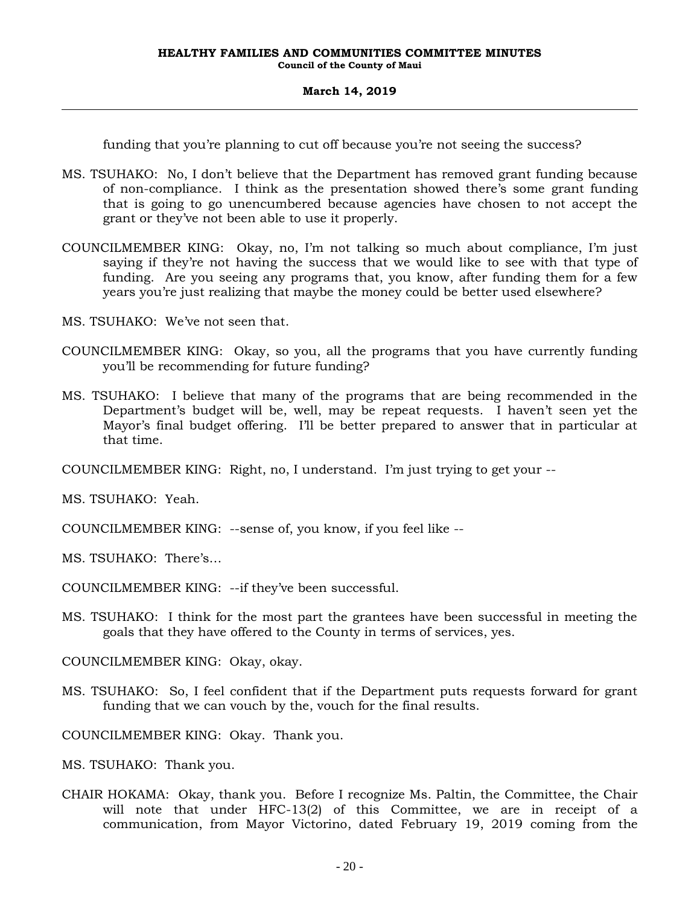funding that you're planning to cut off because you're not seeing the success?

- MS. TSUHAKO: No, I don't believe that the Department has removed grant funding because of non-compliance. I think as the presentation showed there's some grant funding that is going to go unencumbered because agencies have chosen to not accept the grant or they've not been able to use it properly.
- COUNCILMEMBER KING: Okay, no, I'm not talking so much about compliance, I'm just saying if they're not having the success that we would like to see with that type of funding. Are you seeing any programs that, you know, after funding them for a few years you're just realizing that maybe the money could be better used elsewhere?
- MS. TSUHAKO: We've not seen that.
- COUNCILMEMBER KING: Okay, so you, all the programs that you have currently funding you'll be recommending for future funding?
- MS. TSUHAKO: I believe that many of the programs that are being recommended in the Department's budget will be, well, may be repeat requests. I haven't seen yet the Mayor's final budget offering. I'll be better prepared to answer that in particular at that time.

COUNCILMEMBER KING: Right, no, I understand. I'm just trying to get your --

MS. TSUHAKO: Yeah.

COUNCILMEMBER KING: --sense of, you know, if you feel like --

MS. TSUHAKO: There's…

COUNCILMEMBER KING: --if they've been successful.

MS. TSUHAKO: I think for the most part the grantees have been successful in meeting the goals that they have offered to the County in terms of services, yes.

COUNCILMEMBER KING: Okay, okay.

MS. TSUHAKO: So, I feel confident that if the Department puts requests forward for grant funding that we can vouch by the, vouch for the final results.

COUNCILMEMBER KING: Okay. Thank you.

MS. TSUHAKO: Thank you.

CHAIR HOKAMA: Okay, thank you. Before I recognize Ms. Paltin, the Committee, the Chair will note that under HFC-13(2) of this Committee, we are in receipt of a communication, from Mayor Victorino, dated February 19, 2019 coming from the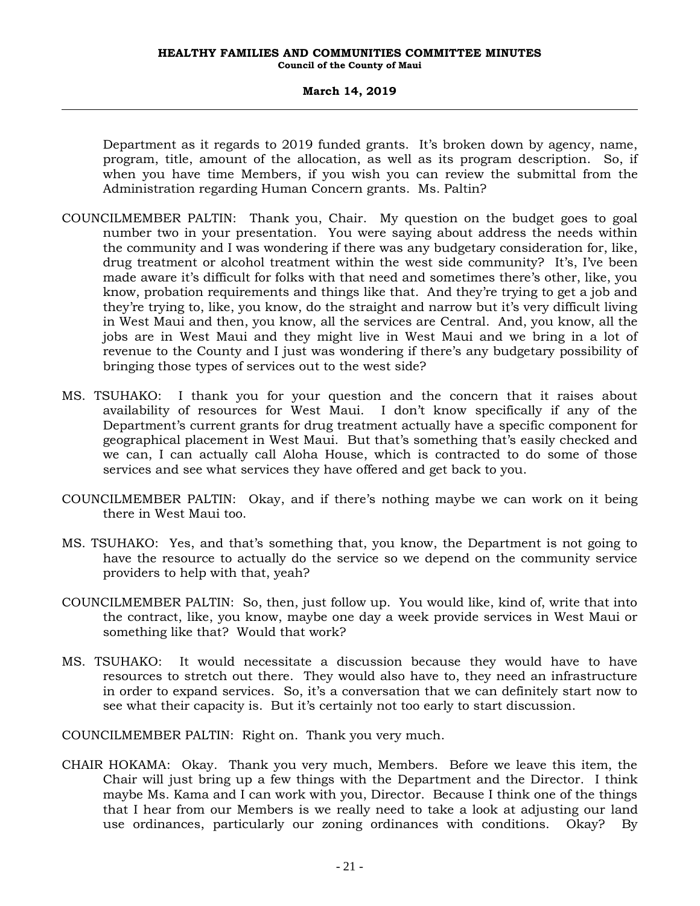#### **March 14, 2019**

Department as it regards to 2019 funded grants. It's broken down by agency, name, program, title, amount of the allocation, as well as its program description. So, if when you have time Members, if you wish you can review the submittal from the Administration regarding Human Concern grants. Ms. Paltin?

- COUNCILMEMBER PALTIN: Thank you, Chair. My question on the budget goes to goal number two in your presentation. You were saying about address the needs within the community and I was wondering if there was any budgetary consideration for, like, drug treatment or alcohol treatment within the west side community? It's, I've been made aware it's difficult for folks with that need and sometimes there's other, like, you know, probation requirements and things like that. And they're trying to get a job and they're trying to, like, you know, do the straight and narrow but it's very difficult living in West Maui and then, you know, all the services are Central. And, you know, all the jobs are in West Maui and they might live in West Maui and we bring in a lot of revenue to the County and I just was wondering if there's any budgetary possibility of bringing those types of services out to the west side?
- MS. TSUHAKO: I thank you for your question and the concern that it raises about availability of resources for West Maui. I don't know specifically if any of the Department's current grants for drug treatment actually have a specific component for geographical placement in West Maui. But that's something that's easily checked and we can, I can actually call Aloha House, which is contracted to do some of those services and see what services they have offered and get back to you.
- COUNCILMEMBER PALTIN: Okay, and if there's nothing maybe we can work on it being there in West Maui too.
- MS. TSUHAKO: Yes, and that's something that, you know, the Department is not going to have the resource to actually do the service so we depend on the community service providers to help with that, yeah?
- COUNCILMEMBER PALTIN: So, then, just follow up. You would like, kind of, write that into the contract, like, you know, maybe one day a week provide services in West Maui or something like that? Would that work?
- MS. TSUHAKO: It would necessitate a discussion because they would have to have resources to stretch out there. They would also have to, they need an infrastructure in order to expand services. So, it's a conversation that we can definitely start now to see what their capacity is. But it's certainly not too early to start discussion.

COUNCILMEMBER PALTIN: Right on. Thank you very much.

CHAIR HOKAMA: Okay. Thank you very much, Members. Before we leave this item, the Chair will just bring up a few things with the Department and the Director. I think maybe Ms. Kama and I can work with you, Director. Because I think one of the things that I hear from our Members is we really need to take a look at adjusting our land use ordinances, particularly our zoning ordinances with conditions. Okay? By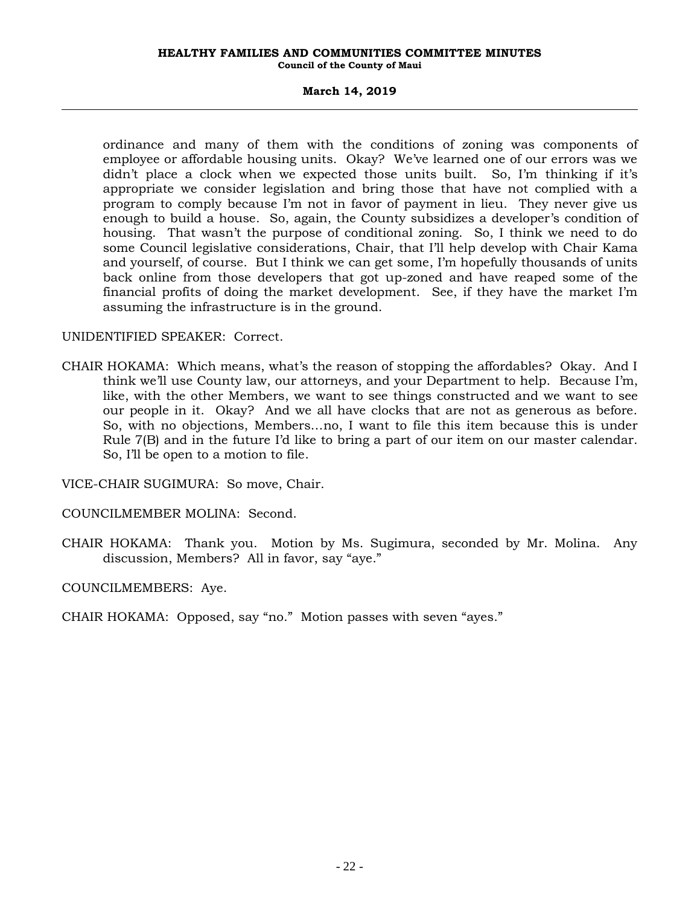### **March 14, 2019**

ordinance and many of them with the conditions of zoning was components of employee or affordable housing units. Okay? We've learned one of our errors was we didn't place a clock when we expected those units built. So, I'm thinking if it's appropriate we consider legislation and bring those that have not complied with a program to comply because I'm not in favor of payment in lieu. They never give us enough to build a house. So, again, the County subsidizes a developer's condition of housing. That wasn't the purpose of conditional zoning. So, I think we need to do some Council legislative considerations, Chair, that I'll help develop with Chair Kama and yourself, of course. But I think we can get some, I'm hopefully thousands of units back online from those developers that got up-zoned and have reaped some of the financial profits of doing the market development. See, if they have the market I'm assuming the infrastructure is in the ground.

### UNIDENTIFIED SPEAKER: Correct.

CHAIR HOKAMA: Which means, what's the reason of stopping the affordables? Okay. And I think we'll use County law, our attorneys, and your Department to help. Because I'm, like, with the other Members, we want to see things constructed and we want to see our people in it. Okay? And we all have clocks that are not as generous as before. So, with no objections, Members…no, I want to file this item because this is under Rule 7(B) and in the future I'd like to bring a part of our item on our master calendar. So, I'll be open to a motion to file.

VICE-CHAIR SUGIMURA: So move, Chair.

COUNCILMEMBER MOLINA: Second.

CHAIR HOKAMA: Thank you. Motion by Ms. Sugimura, seconded by Mr. Molina. Any discussion, Members? All in favor, say "aye."

COUNCILMEMBERS: Aye.

CHAIR HOKAMA: Opposed, say "no." Motion passes with seven "ayes."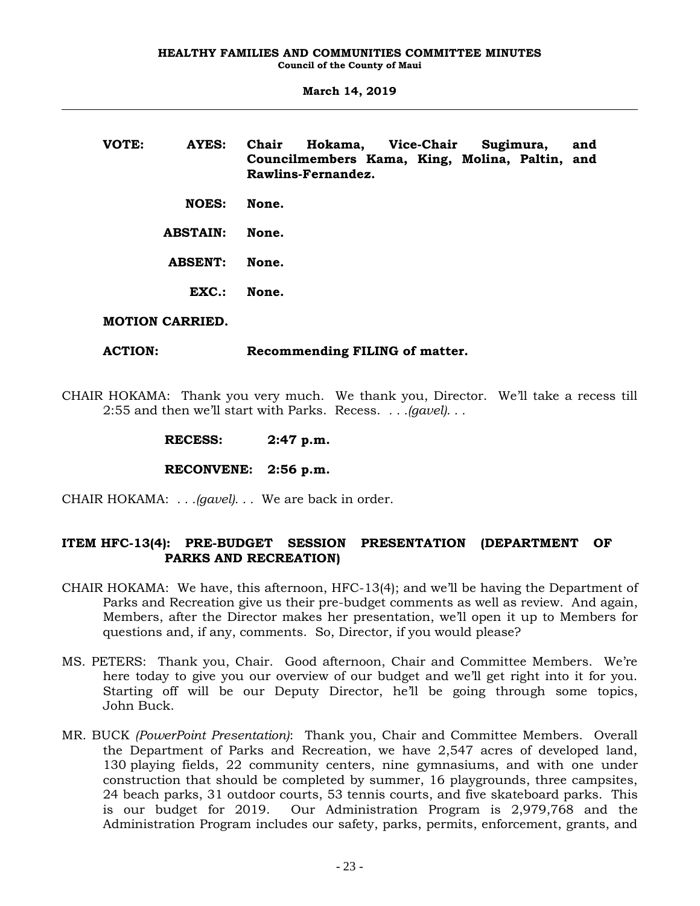**VOTE: AYES: Chair Hokama, Vice-Chair Sugimura, and Councilmembers Kama, King, Molina, Paltin, and Rawlins-Fernandez. NOES: None. ABSTAIN: None. ABSENT: None. EXC.: None.**

### **MOTION CARRIED.**

### **ACTION: Recommending FILING of matter.**

CHAIR HOKAMA: Thank you very much. We thank you, Director. We'll take a recess till 2:55 and then we'll start with Parks. Recess. *. . .(gavel). . .*

**RECONVENE: 2:56 p.m.**

CHAIR HOKAMA: *. . .(gavel). . .* We are back in order.

## **ITEM HFC-13(4): PRE-BUDGET SESSION PRESENTATION (DEPARTMENT OF PARKS AND RECREATION)**

- CHAIR HOKAMA: We have, this afternoon, HFC-13(4); and we'll be having the Department of Parks and Recreation give us their pre-budget comments as well as review. And again, Members, after the Director makes her presentation, we'll open it up to Members for questions and, if any, comments. So, Director, if you would please?
- MS. PETERS: Thank you, Chair. Good afternoon, Chair and Committee Members. We're here today to give you our overview of our budget and we'll get right into it for you. Starting off will be our Deputy Director, he'll be going through some topics, John Buck.
- MR. BUCK *(PowerPoint Presentation)*: Thank you, Chair and Committee Members. Overall the Department of Parks and Recreation, we have 2,547 acres of developed land, 130 playing fields, 22 community centers, nine gymnasiums, and with one under construction that should be completed by summer, 16 playgrounds, three campsites, 24 beach parks, 31 outdoor courts, 53 tennis courts, and five skateboard parks. This is our budget for 2019. Our Administration Program is 2,979,768 and the Administration Program includes our safety, parks, permits, enforcement, grants, and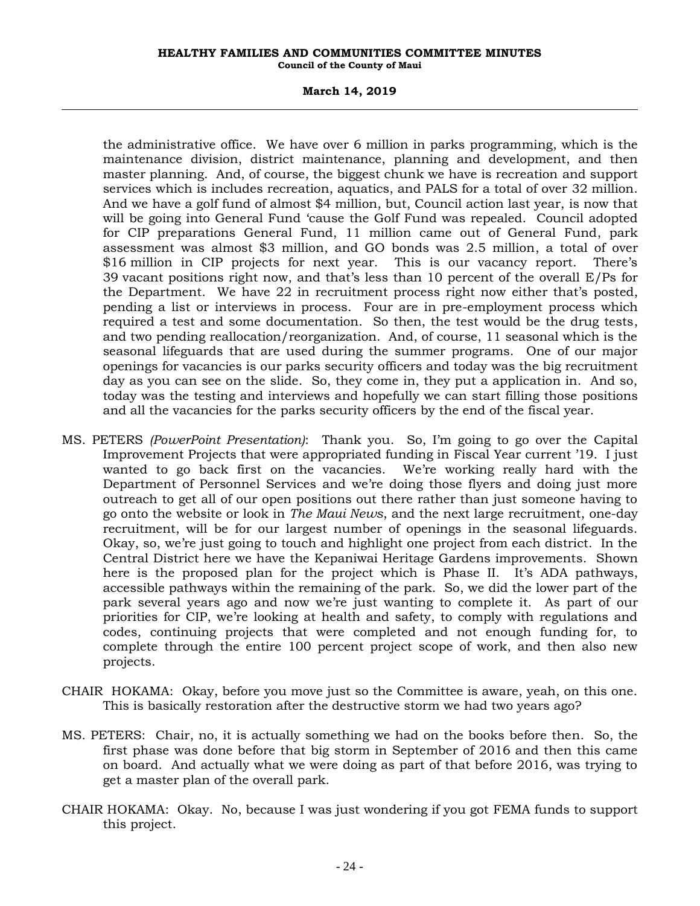#### **March 14, 2019**

the administrative office. We have over 6 million in parks programming, which is the maintenance division, district maintenance, planning and development, and then master planning. And, of course, the biggest chunk we have is recreation and support services which is includes recreation, aquatics, and PALS for a total of over 32 million. And we have a golf fund of almost \$4 million, but, Council action last year, is now that will be going into General Fund 'cause the Golf Fund was repealed. Council adopted for CIP preparations General Fund, 11 million came out of General Fund, park assessment was almost \$3 million, and GO bonds was 2.5 million, a total of over \$16 million in CIP projects for next year. This is our vacancy report. There's 39 vacant positions right now, and that's less than 10 percent of the overall E/Ps for the Department. We have 22 in recruitment process right now either that's posted, pending a list or interviews in process. Four are in pre-employment process which required a test and some documentation. So then, the test would be the drug tests, and two pending reallocation/reorganization. And, of course, 11 seasonal which is the seasonal lifeguards that are used during the summer programs. One of our major openings for vacancies is our parks security officers and today was the big recruitment day as you can see on the slide. So, they come in, they put a application in. And so, today was the testing and interviews and hopefully we can start filling those positions and all the vacancies for the parks security officers by the end of the fiscal year.

- MS. PETERS *(PowerPoint Presentation)*: Thank you. So, I'm going to go over the Capital Improvement Projects that were appropriated funding in Fiscal Year current '19. I just wanted to go back first on the vacancies. We're working really hard with the Department of Personnel Services and we're doing those flyers and doing just more outreach to get all of our open positions out there rather than just someone having to go onto the website or look in *The Maui News*, and the next large recruitment, one-day recruitment, will be for our largest number of openings in the seasonal lifeguards. Okay, so, we're just going to touch and highlight one project from each district. In the Central District here we have the Kepaniwai Heritage Gardens improvements. Shown here is the proposed plan for the project which is Phase II. It's ADA pathways, accessible pathways within the remaining of the park. So, we did the lower part of the park several years ago and now we're just wanting to complete it. As part of our priorities for CIP, we're looking at health and safety, to comply with regulations and codes, continuing projects that were completed and not enough funding for, to complete through the entire 100 percent project scope of work, and then also new projects.
- CHAIR HOKAMA: Okay, before you move just so the Committee is aware, yeah, on this one. This is basically restoration after the destructive storm we had two years ago?
- MS. PETERS: Chair, no, it is actually something we had on the books before then. So, the first phase was done before that big storm in September of 2016 and then this came on board. And actually what we were doing as part of that before 2016, was trying to get a master plan of the overall park.
- CHAIR HOKAMA: Okay. No, because I was just wondering if you got FEMA funds to support this project.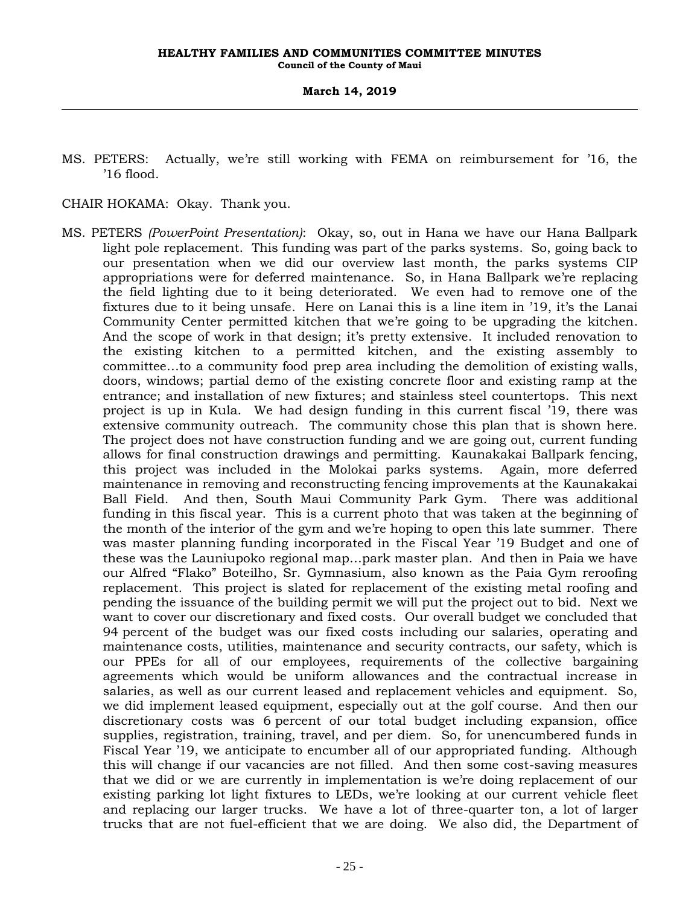MS. PETERS: Actually, we're still working with FEMA on reimbursement for '16, the '16 flood.

CHAIR HOKAMA: Okay. Thank you.

MS. PETERS *(PowerPoint Presentation)*: Okay, so, out in Hana we have our Hana Ballpark light pole replacement. This funding was part of the parks systems. So, going back to our presentation when we did our overview last month, the parks systems CIP appropriations were for deferred maintenance. So, in Hana Ballpark we're replacing the field lighting due to it being deteriorated. We even had to remove one of the fixtures due to it being unsafe. Here on Lanai this is a line item in '19, it's the Lanai Community Center permitted kitchen that we're going to be upgrading the kitchen. And the scope of work in that design; it's pretty extensive. It included renovation to the existing kitchen to a permitted kitchen, and the existing assembly to committee…to a community food prep area including the demolition of existing walls, doors, windows; partial demo of the existing concrete floor and existing ramp at the entrance; and installation of new fixtures; and stainless steel countertops. This next project is up in Kula. We had design funding in this current fiscal '19, there was extensive community outreach. The community chose this plan that is shown here. The project does not have construction funding and we are going out, current funding allows for final construction drawings and permitting. Kaunakakai Ballpark fencing, this project was included in the Molokai parks systems. Again, more deferred maintenance in removing and reconstructing fencing improvements at the Kaunakakai Ball Field. And then, South Maui Community Park Gym. There was additional funding in this fiscal year. This is a current photo that was taken at the beginning of the month of the interior of the gym and we're hoping to open this late summer. There was master planning funding incorporated in the Fiscal Year '19 Budget and one of these was the Launiupoko regional map…park master plan. And then in Paia we have our Alfred "Flako" Boteilho, Sr. Gymnasium, also known as the Paia Gym reroofing replacement. This project is slated for replacement of the existing metal roofing and pending the issuance of the building permit we will put the project out to bid. Next we want to cover our discretionary and fixed costs. Our overall budget we concluded that 94 percent of the budget was our fixed costs including our salaries, operating and maintenance costs, utilities, maintenance and security contracts, our safety, which is our PPEs for all of our employees, requirements of the collective bargaining agreements which would be uniform allowances and the contractual increase in salaries, as well as our current leased and replacement vehicles and equipment. So, we did implement leased equipment, especially out at the golf course. And then our discretionary costs was 6 percent of our total budget including expansion, office supplies, registration, training, travel, and per diem. So, for unencumbered funds in Fiscal Year '19, we anticipate to encumber all of our appropriated funding. Although this will change if our vacancies are not filled. And then some cost-saving measures that we did or we are currently in implementation is we're doing replacement of our existing parking lot light fixtures to LEDs, we're looking at our current vehicle fleet and replacing our larger trucks. We have a lot of three-quarter ton, a lot of larger trucks that are not fuel-efficient that we are doing. We also did, the Department of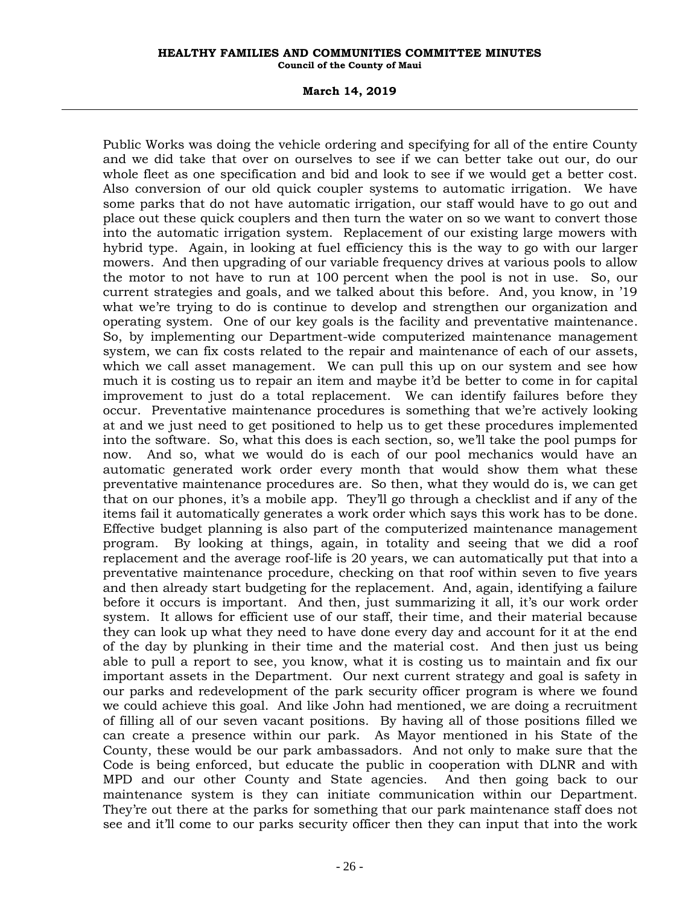#### **March 14, 2019**

Public Works was doing the vehicle ordering and specifying for all of the entire County and we did take that over on ourselves to see if we can better take out our, do our whole fleet as one specification and bid and look to see if we would get a better cost. Also conversion of our old quick coupler systems to automatic irrigation. We have some parks that do not have automatic irrigation, our staff would have to go out and place out these quick couplers and then turn the water on so we want to convert those into the automatic irrigation system. Replacement of our existing large mowers with hybrid type. Again, in looking at fuel efficiency this is the way to go with our larger mowers. And then upgrading of our variable frequency drives at various pools to allow the motor to not have to run at 100 percent when the pool is not in use. So, our current strategies and goals, and we talked about this before. And, you know, in '19 what we're trying to do is continue to develop and strengthen our organization and operating system. One of our key goals is the facility and preventative maintenance. So, by implementing our Department-wide computerized maintenance management system, we can fix costs related to the repair and maintenance of each of our assets, which we call asset management. We can pull this up on our system and see how much it is costing us to repair an item and maybe it'd be better to come in for capital improvement to just do a total replacement. We can identify failures before they occur. Preventative maintenance procedures is something that we're actively looking at and we just need to get positioned to help us to get these procedures implemented into the software. So, what this does is each section, so, we'll take the pool pumps for now. And so, what we would do is each of our pool mechanics would have an automatic generated work order every month that would show them what these preventative maintenance procedures are. So then, what they would do is, we can get that on our phones, it's a mobile app. They'll go through a checklist and if any of the items fail it automatically generates a work order which says this work has to be done. Effective budget planning is also part of the computerized maintenance management program. By looking at things, again, in totality and seeing that we did a roof replacement and the average roof-life is 20 years, we can automatically put that into a preventative maintenance procedure, checking on that roof within seven to five years and then already start budgeting for the replacement. And, again, identifying a failure before it occurs is important. And then, just summarizing it all, it's our work order system. It allows for efficient use of our staff, their time, and their material because they can look up what they need to have done every day and account for it at the end of the day by plunking in their time and the material cost. And then just us being able to pull a report to see, you know, what it is costing us to maintain and fix our important assets in the Department. Our next current strategy and goal is safety in our parks and redevelopment of the park security officer program is where we found we could achieve this goal. And like John had mentioned, we are doing a recruitment of filling all of our seven vacant positions. By having all of those positions filled we can create a presence within our park. As Mayor mentioned in his State of the County, these would be our park ambassadors. And not only to make sure that the Code is being enforced, but educate the public in cooperation with DLNR and with MPD and our other County and State agencies. And then going back to our maintenance system is they can initiate communication within our Department. They're out there at the parks for something that our park maintenance staff does not see and it'll come to our parks security officer then they can input that into the work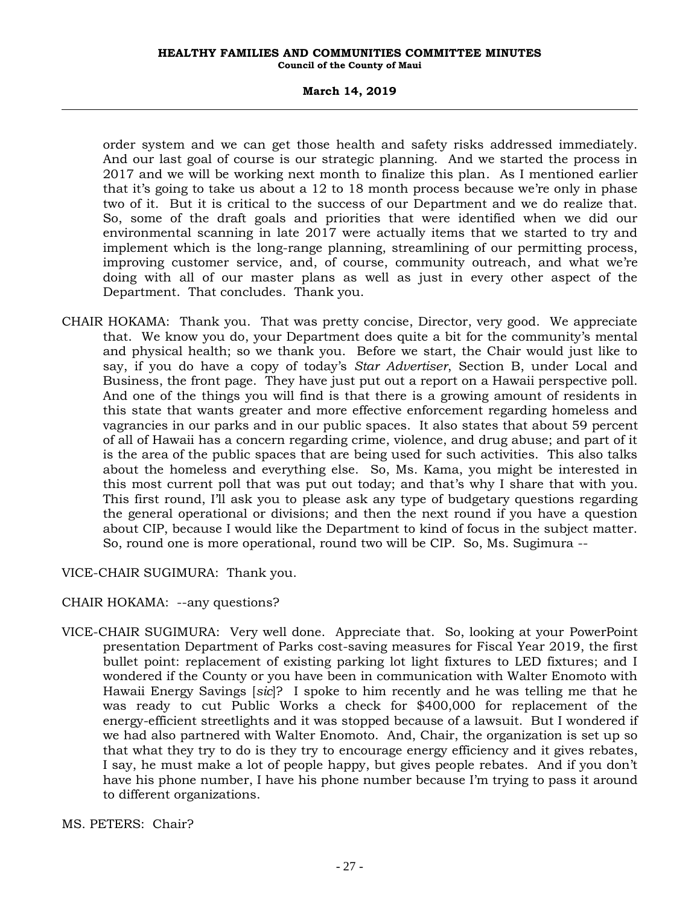#### **March 14, 2019**

order system and we can get those health and safety risks addressed immediately. And our last goal of course is our strategic planning. And we started the process in 2017 and we will be working next month to finalize this plan. As I mentioned earlier that it's going to take us about a 12 to 18 month process because we're only in phase two of it. But it is critical to the success of our Department and we do realize that. So, some of the draft goals and priorities that were identified when we did our environmental scanning in late 2017 were actually items that we started to try and implement which is the long-range planning, streamlining of our permitting process, improving customer service, and, of course, community outreach, and what we're doing with all of our master plans as well as just in every other aspect of the Department. That concludes. Thank you.

CHAIR HOKAMA: Thank you. That was pretty concise, Director, very good. We appreciate that. We know you do, your Department does quite a bit for the community's mental and physical health; so we thank you. Before we start, the Chair would just like to say, if you do have a copy of today's *Star Advertiser*, Section B, under Local and Business, the front page. They have just put out a report on a Hawaii perspective poll. And one of the things you will find is that there is a growing amount of residents in this state that wants greater and more effective enforcement regarding homeless and vagrancies in our parks and in our public spaces. It also states that about 59 percent of all of Hawaii has a concern regarding crime, violence, and drug abuse; and part of it is the area of the public spaces that are being used for such activities. This also talks about the homeless and everything else. So, Ms. Kama, you might be interested in this most current poll that was put out today; and that's why I share that with you. This first round, I'll ask you to please ask any type of budgetary questions regarding the general operational or divisions; and then the next round if you have a question about CIP, because I would like the Department to kind of focus in the subject matter. So, round one is more operational, round two will be CIP. So, Ms. Sugimura --

VICE-CHAIR SUGIMURA: Thank you.

CHAIR HOKAMA: --any questions?

VICE-CHAIR SUGIMURA: Very well done. Appreciate that. So, looking at your PowerPoint presentation Department of Parks cost-saving measures for Fiscal Year 2019, the first bullet point: replacement of existing parking lot light fixtures to LED fixtures; and I wondered if the County or you have been in communication with Walter Enomoto with Hawaii Energy Savings [*sic*]? I spoke to him recently and he was telling me that he was ready to cut Public Works a check for \$400,000 for replacement of the energy-efficient streetlights and it was stopped because of a lawsuit. But I wondered if we had also partnered with Walter Enomoto. And, Chair, the organization is set up so that what they try to do is they try to encourage energy efficiency and it gives rebates, I say, he must make a lot of people happy, but gives people rebates. And if you don't have his phone number, I have his phone number because I'm trying to pass it around to different organizations.

MS. PETERS: Chair?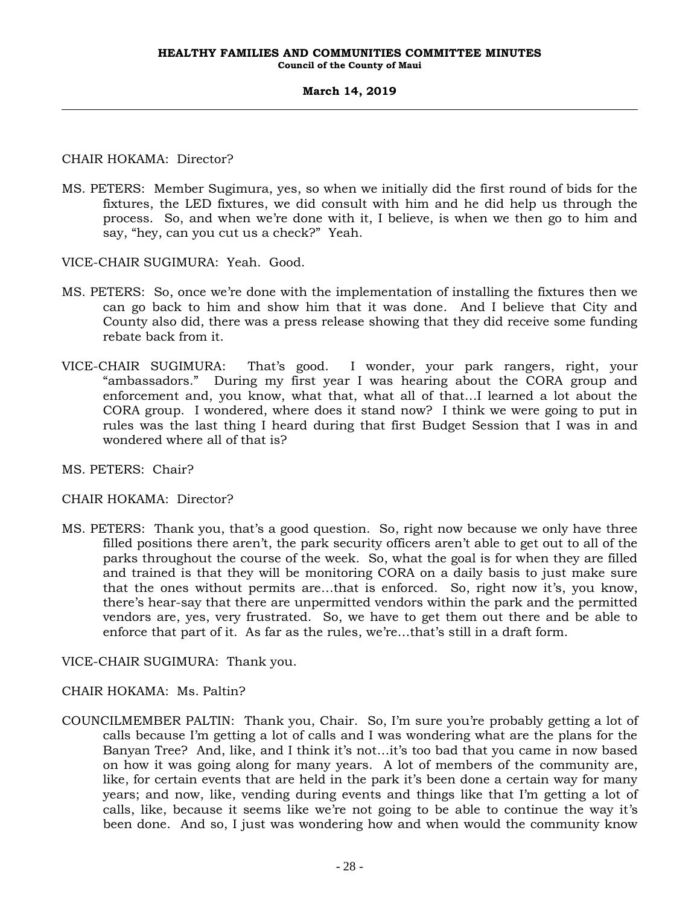### CHAIR HOKAMA: Director?

MS. PETERS: Member Sugimura, yes, so when we initially did the first round of bids for the fixtures, the LED fixtures, we did consult with him and he did help us through the process. So, and when we're done with it, I believe, is when we then go to him and say, "hey, can you cut us a check?" Yeah.

VICE-CHAIR SUGIMURA: Yeah. Good.

- MS. PETERS: So, once we're done with the implementation of installing the fixtures then we can go back to him and show him that it was done. And I believe that City and County also did, there was a press release showing that they did receive some funding rebate back from it.
- VICE-CHAIR SUGIMURA: That's good. I wonder, your park rangers, right, your "ambassadors." During my first year I was hearing about the CORA group and enforcement and, you know, what that, what all of that…I learned a lot about the CORA group. I wondered, where does it stand now? I think we were going to put in rules was the last thing I heard during that first Budget Session that I was in and wondered where all of that is?
- MS. PETERS: Chair?

### CHAIR HOKAMA: Director?

MS. PETERS: Thank you, that's a good question. So, right now because we only have three filled positions there aren't, the park security officers aren't able to get out to all of the parks throughout the course of the week. So, what the goal is for when they are filled and trained is that they will be monitoring CORA on a daily basis to just make sure that the ones without permits are…that is enforced. So, right now it's, you know, there's hear-say that there are unpermitted vendors within the park and the permitted vendors are, yes, very frustrated. So, we have to get them out there and be able to enforce that part of it. As far as the rules, we're…that's still in a draft form.

VICE-CHAIR SUGIMURA: Thank you.

CHAIR HOKAMA: Ms. Paltin?

COUNCILMEMBER PALTIN: Thank you, Chair. So, I'm sure you're probably getting a lot of calls because I'm getting a lot of calls and I was wondering what are the plans for the Banyan Tree? And, like, and I think it's not…it's too bad that you came in now based on how it was going along for many years. A lot of members of the community are, like, for certain events that are held in the park it's been done a certain way for many years; and now, like, vending during events and things like that I'm getting a lot of calls, like, because it seems like we're not going to be able to continue the way it's been done. And so, I just was wondering how and when would the community know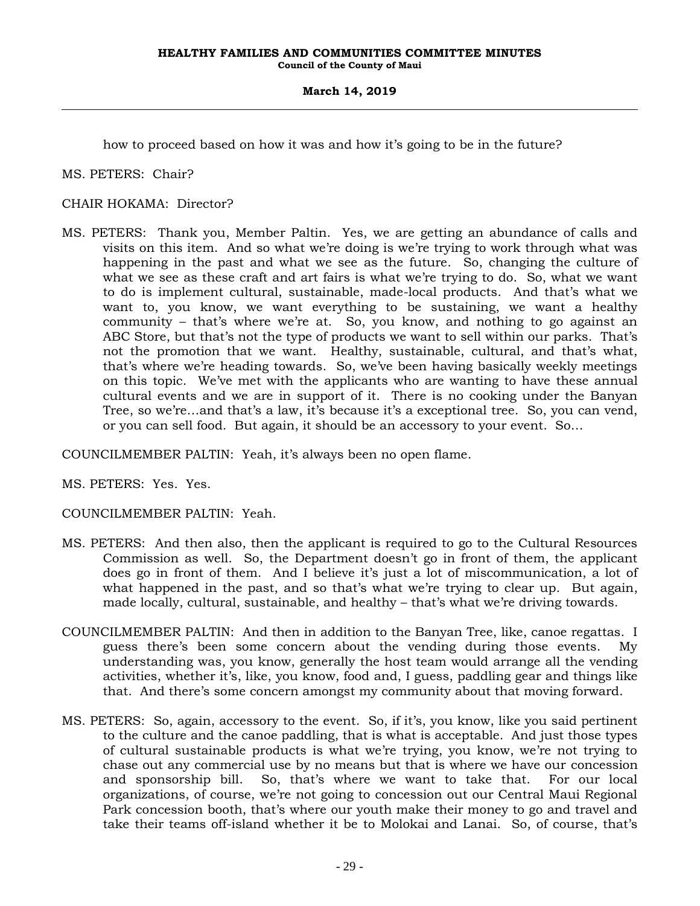how to proceed based on how it was and how it's going to be in the future?

MS. PETERS: Chair?

CHAIR HOKAMA: Director?

MS. PETERS: Thank you, Member Paltin. Yes, we are getting an abundance of calls and visits on this item. And so what we're doing is we're trying to work through what was happening in the past and what we see as the future. So, changing the culture of what we see as these craft and art fairs is what we're trying to do. So, what we want to do is implement cultural, sustainable, made-local products. And that's what we want to, you know, we want everything to be sustaining, we want a healthy community – that's where we're at. So, you know, and nothing to go against an ABC Store, but that's not the type of products we want to sell within our parks. That's not the promotion that we want. Healthy, sustainable, cultural, and that's what, that's where we're heading towards. So, we've been having basically weekly meetings on this topic. We've met with the applicants who are wanting to have these annual cultural events and we are in support of it. There is no cooking under the Banyan Tree, so we're…and that's a law, it's because it's a exceptional tree. So, you can vend, or you can sell food. But again, it should be an accessory to your event. So…

COUNCILMEMBER PALTIN: Yeah, it's always been no open flame.

MS. PETERS: Yes. Yes.

COUNCILMEMBER PALTIN: Yeah.

- MS. PETERS: And then also, then the applicant is required to go to the Cultural Resources Commission as well. So, the Department doesn't go in front of them, the applicant does go in front of them. And I believe it's just a lot of miscommunication, a lot of what happened in the past, and so that's what we're trying to clear up. But again, made locally, cultural, sustainable, and healthy – that's what we're driving towards.
- COUNCILMEMBER PALTIN: And then in addition to the Banyan Tree, like, canoe regattas. I guess there's been some concern about the vending during those events. My understanding was, you know, generally the host team would arrange all the vending activities, whether it's, like, you know, food and, I guess, paddling gear and things like that. And there's some concern amongst my community about that moving forward.
- MS. PETERS: So, again, accessory to the event. So, if it's, you know, like you said pertinent to the culture and the canoe paddling, that is what is acceptable. And just those types of cultural sustainable products is what we're trying, you know, we're not trying to chase out any commercial use by no means but that is where we have our concession and sponsorship bill. So, that's where we want to take that. For our local organizations, of course, we're not going to concession out our Central Maui Regional Park concession booth, that's where our youth make their money to go and travel and take their teams off-island whether it be to Molokai and Lanai. So, of course, that's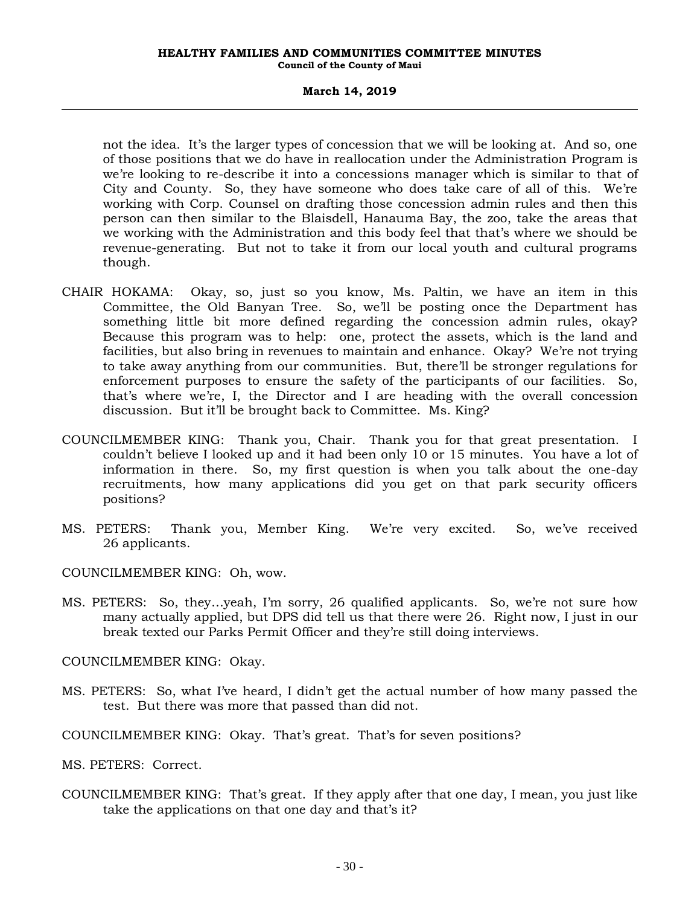#### **March 14, 2019**

not the idea. It's the larger types of concession that we will be looking at. And so, one of those positions that we do have in reallocation under the Administration Program is we're looking to re-describe it into a concessions manager which is similar to that of City and County. So, they have someone who does take care of all of this. We're working with Corp. Counsel on drafting those concession admin rules and then this person can then similar to the Blaisdell, Hanauma Bay, the zoo, take the areas that we working with the Administration and this body feel that that's where we should be revenue-generating. But not to take it from our local youth and cultural programs though.

- CHAIR HOKAMA: Okay, so, just so you know, Ms. Paltin, we have an item in this Committee, the Old Banyan Tree. So, we'll be posting once the Department has something little bit more defined regarding the concession admin rules, okay? Because this program was to help: one, protect the assets, which is the land and facilities, but also bring in revenues to maintain and enhance. Okay? We're not trying to take away anything from our communities. But, there'll be stronger regulations for enforcement purposes to ensure the safety of the participants of our facilities. So, that's where we're, I, the Director and I are heading with the overall concession discussion. But it'll be brought back to Committee. Ms. King?
- COUNCILMEMBER KING: Thank you, Chair. Thank you for that great presentation. I couldn't believe I looked up and it had been only 10 or 15 minutes. You have a lot of information in there. So, my first question is when you talk about the one-day recruitments, how many applications did you get on that park security officers positions?
- MS. PETERS: Thank you, Member King. We're very excited. So, we've received 26 applicants.

COUNCILMEMBER KING: Oh, wow.

MS. PETERS: So, they…yeah, I'm sorry, 26 qualified applicants. So, we're not sure how many actually applied, but DPS did tell us that there were 26. Right now, I just in our break texted our Parks Permit Officer and they're still doing interviews.

COUNCILMEMBER KING: Okay.

MS. PETERS: So, what I've heard, I didn't get the actual number of how many passed the test. But there was more that passed than did not.

COUNCILMEMBER KING: Okay. That's great. That's for seven positions?

MS. PETERS: Correct.

COUNCILMEMBER KING: That's great. If they apply after that one day, I mean, you just like take the applications on that one day and that's it?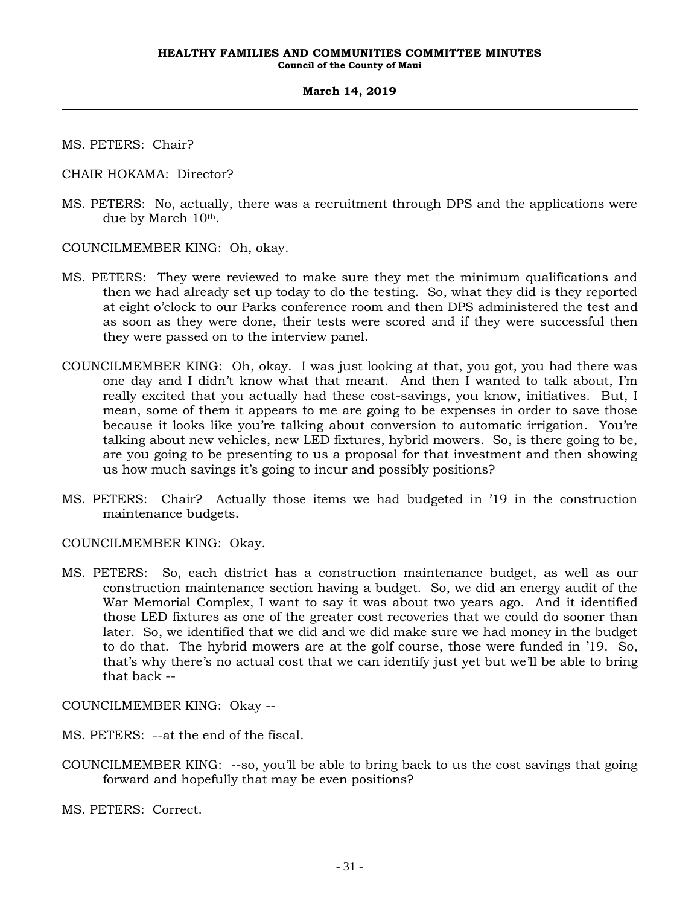MS. PETERS: Chair?

CHAIR HOKAMA: Director?

MS. PETERS: No, actually, there was a recruitment through DPS and the applications were due by March  $10<sup>th</sup>$ .

COUNCILMEMBER KING: Oh, okay.

- MS. PETERS: They were reviewed to make sure they met the minimum qualifications and then we had already set up today to do the testing. So, what they did is they reported at eight o'clock to our Parks conference room and then DPS administered the test and as soon as they were done, their tests were scored and if they were successful then they were passed on to the interview panel.
- COUNCILMEMBER KING: Oh, okay. I was just looking at that, you got, you had there was one day and I didn't know what that meant. And then I wanted to talk about, I'm really excited that you actually had these cost-savings, you know, initiatives. But, I mean, some of them it appears to me are going to be expenses in order to save those because it looks like you're talking about conversion to automatic irrigation. You're talking about new vehicles, new LED fixtures, hybrid mowers. So, is there going to be, are you going to be presenting to us a proposal for that investment and then showing us how much savings it's going to incur and possibly positions?
- MS. PETERS: Chair? Actually those items we had budgeted in '19 in the construction maintenance budgets.

COUNCILMEMBER KING: Okay.

MS. PETERS: So, each district has a construction maintenance budget, as well as our construction maintenance section having a budget. So, we did an energy audit of the War Memorial Complex, I want to say it was about two years ago. And it identified those LED fixtures as one of the greater cost recoveries that we could do sooner than later. So, we identified that we did and we did make sure we had money in the budget to do that. The hybrid mowers are at the golf course, those were funded in '19. So, that's why there's no actual cost that we can identify just yet but we'll be able to bring that back --

COUNCILMEMBER KING: Okay --

MS. PETERS: --at the end of the fiscal.

COUNCILMEMBER KING: --so, you'll be able to bring back to us the cost savings that going forward and hopefully that may be even positions?

MS. PETERS: Correct.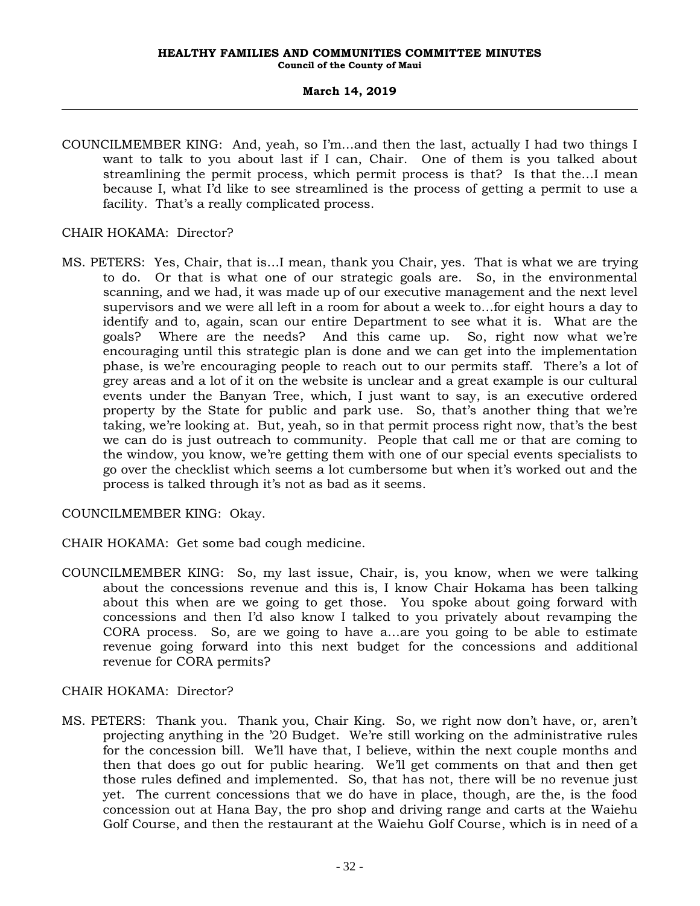COUNCILMEMBER KING: And, yeah, so I'm…and then the last, actually I had two things I want to talk to you about last if I can, Chair. One of them is you talked about streamlining the permit process, which permit process is that? Is that the…I mean because I, what I'd like to see streamlined is the process of getting a permit to use a facility. That's a really complicated process.

### CHAIR HOKAMA: Director?

MS. PETERS: Yes, Chair, that is…I mean, thank you Chair, yes. That is what we are trying to do. Or that is what one of our strategic goals are. So, in the environmental scanning, and we had, it was made up of our executive management and the next level supervisors and we were all left in a room for about a week to…for eight hours a day to identify and to, again, scan our entire Department to see what it is. What are the goals? Where are the needs? And this came up. So, right now what we're encouraging until this strategic plan is done and we can get into the implementation phase, is we're encouraging people to reach out to our permits staff. There's a lot of grey areas and a lot of it on the website is unclear and a great example is our cultural events under the Banyan Tree, which, I just want to say, is an executive ordered property by the State for public and park use. So, that's another thing that we're taking, we're looking at. But, yeah, so in that permit process right now, that's the best we can do is just outreach to community. People that call me or that are coming to the window, you know, we're getting them with one of our special events specialists to go over the checklist which seems a lot cumbersome but when it's worked out and the process is talked through it's not as bad as it seems.

COUNCILMEMBER KING: Okay.

- CHAIR HOKAMA: Get some bad cough medicine.
- COUNCILMEMBER KING: So, my last issue, Chair, is, you know, when we were talking about the concessions revenue and this is, I know Chair Hokama has been talking about this when are we going to get those. You spoke about going forward with concessions and then I'd also know I talked to you privately about revamping the CORA process. So, are we going to have a…are you going to be able to estimate revenue going forward into this next budget for the concessions and additional revenue for CORA permits?

### CHAIR HOKAMA: Director?

MS. PETERS: Thank you. Thank you, Chair King. So, we right now don't have, or, aren't projecting anything in the '20 Budget. We're still working on the administrative rules for the concession bill. We'll have that, I believe, within the next couple months and then that does go out for public hearing. We'll get comments on that and then get those rules defined and implemented. So, that has not, there will be no revenue just yet. The current concessions that we do have in place, though, are the, is the food concession out at Hana Bay, the pro shop and driving range and carts at the Waiehu Golf Course, and then the restaurant at the Waiehu Golf Course, which is in need of a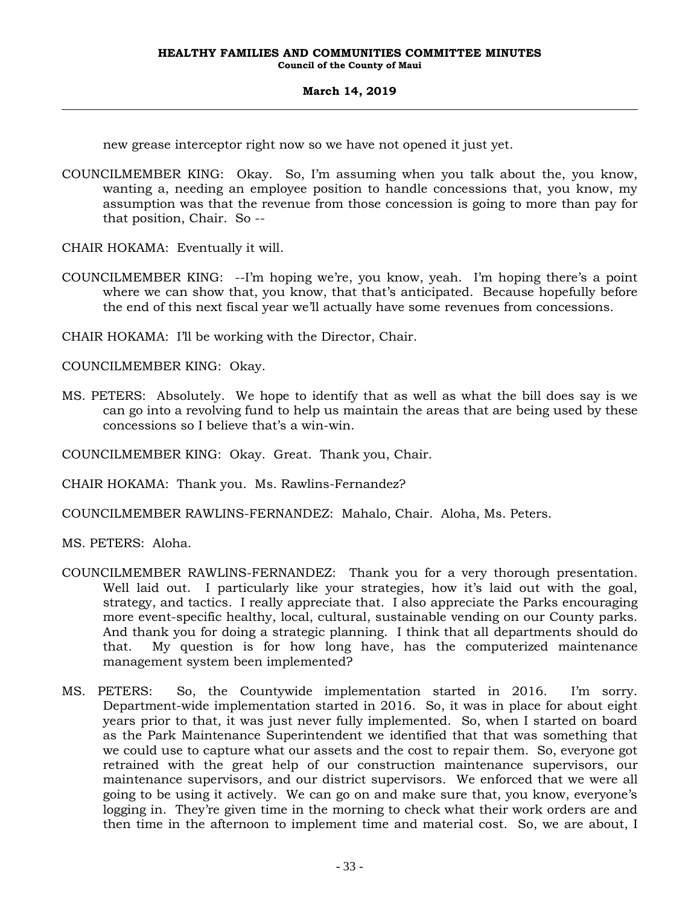new grease interceptor right now so we have not opened it just yet.

- COUNCILMEMBER KING: Okay. So, I'm assuming when you talk about the, you know, wanting a, needing an employee position to handle concessions that, you know, my assumption was that the revenue from those concession is going to more than pay for that position, Chair. So --
- CHAIR HOKAMA: Eventually it will.
- COUNCILMEMBER KING: --I'm hoping we're, you know, yeah. I'm hoping there's a point where we can show that, you know, that that's anticipated. Because hopefully before the end of this next fiscal year we'll actually have some revenues from concessions.

CHAIR HOKAMA: I'll be working with the Director, Chair.

COUNCILMEMBER KING: Okay.

MS. PETERS: Absolutely. We hope to identify that as well as what the bill does say is we can go into a revolving fund to help us maintain the areas that are being used by these concessions so I believe that's a win-win.

COUNCILMEMBER KING: Okay. Great. Thank you, Chair.

CHAIR HOKAMA: Thank you. Ms. Rawlins-Fernandez?

COUNCILMEMBER RAWLINS-FERNANDEZ: Mahalo, Chair. Aloha, Ms. Peters.

MS. PETERS: Aloha.

- COUNCILMEMBER RAWLINS-FERNANDEZ: Thank you for a very thorough presentation. Well laid out. I particularly like your strategies, how it's laid out with the goal, strategy, and tactics. I really appreciate that. I also appreciate the Parks encouraging more event-specific healthy, local, cultural, sustainable vending on our County parks. And thank you for doing a strategic planning. I think that all departments should do that. My question is for how long have, has the computerized maintenance management system been implemented?
- MS. PETERS: So, the Countywide implementation started in 2016. I'm sorry. Department-wide implementation started in 2016. So, it was in place for about eight years prior to that, it was just never fully implemented. So, when I started on board as the Park Maintenance Superintendent we identified that that was something that we could use to capture what our assets and the cost to repair them. So, everyone got retrained with the great help of our construction maintenance supervisors, our maintenance supervisors, and our district supervisors. We enforced that we were all going to be using it actively. We can go on and make sure that, you know, everyone's logging in. They're given time in the morning to check what their work orders are and then time in the afternoon to implement time and material cost. So, we are about, I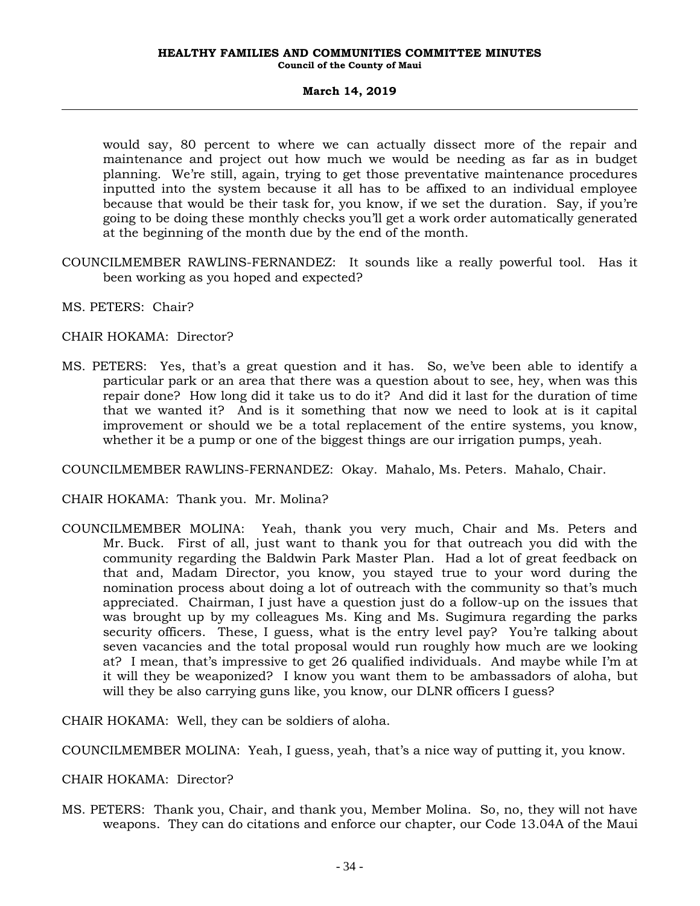would say, 80 percent to where we can actually dissect more of the repair and maintenance and project out how much we would be needing as far as in budget planning. We're still, again, trying to get those preventative maintenance procedures inputted into the system because it all has to be affixed to an individual employee because that would be their task for, you know, if we set the duration. Say, if you're going to be doing these monthly checks you'll get a work order automatically generated at the beginning of the month due by the end of the month.

- COUNCILMEMBER RAWLINS-FERNANDEZ: It sounds like a really powerful tool. Has it been working as you hoped and expected?
- MS. PETERS: Chair?

### CHAIR HOKAMA: Director?

MS. PETERS: Yes, that's a great question and it has. So, we've been able to identify a particular park or an area that there was a question about to see, hey, when was this repair done? How long did it take us to do it? And did it last for the duration of time that we wanted it? And is it something that now we need to look at is it capital improvement or should we be a total replacement of the entire systems, you know, whether it be a pump or one of the biggest things are our irrigation pumps, yeah.

COUNCILMEMBER RAWLINS-FERNANDEZ: Okay. Mahalo, Ms. Peters. Mahalo, Chair.

CHAIR HOKAMA: Thank you. Mr. Molina?

COUNCILMEMBER MOLINA: Yeah, thank you very much, Chair and Ms. Peters and Mr. Buck. First of all, just want to thank you for that outreach you did with the community regarding the Baldwin Park Master Plan. Had a lot of great feedback on that and, Madam Director, you know, you stayed true to your word during the nomination process about doing a lot of outreach with the community so that's much appreciated. Chairman, I just have a question just do a follow-up on the issues that was brought up by my colleagues Ms. King and Ms. Sugimura regarding the parks security officers. These, I guess, what is the entry level pay? You're talking about seven vacancies and the total proposal would run roughly how much are we looking at? I mean, that's impressive to get 26 qualified individuals. And maybe while I'm at it will they be weaponized? I know you want them to be ambassadors of aloha, but will they be also carrying guns like, you know, our DLNR officers I guess?

CHAIR HOKAMA: Well, they can be soldiers of aloha.

COUNCILMEMBER MOLINA: Yeah, I guess, yeah, that's a nice way of putting it, you know.

CHAIR HOKAMA: Director?

MS. PETERS: Thank you, Chair, and thank you, Member Molina. So, no, they will not have weapons. They can do citations and enforce our chapter, our Code 13.04A of the Maui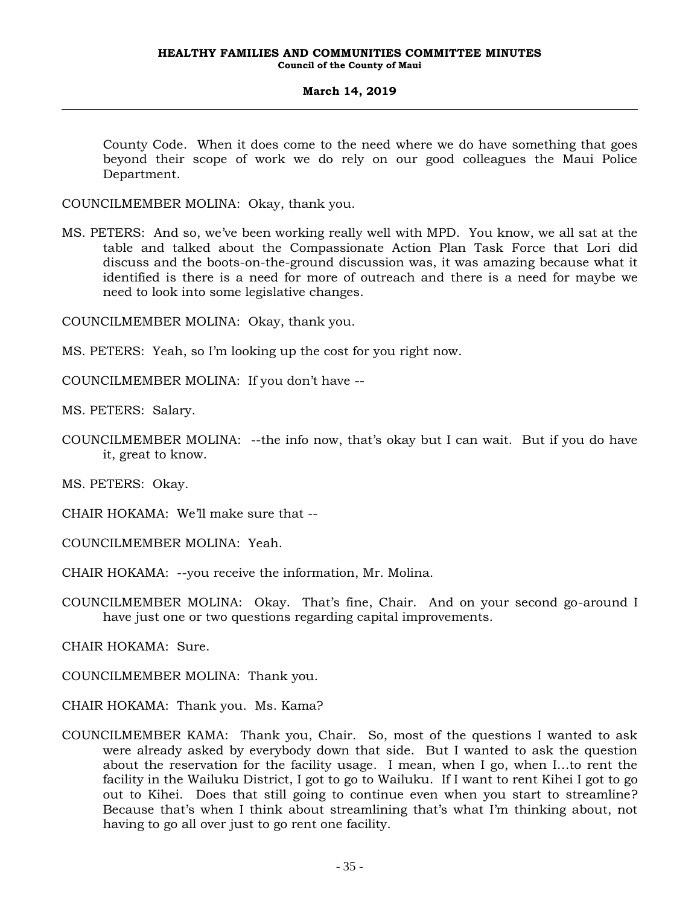County Code. When it does come to the need where we do have something that goes beyond their scope of work we do rely on our good colleagues the Maui Police Department.

COUNCILMEMBER MOLINA: Okay, thank you.

MS. PETERS: And so, we've been working really well with MPD. You know, we all sat at the table and talked about the Compassionate Action Plan Task Force that Lori did discuss and the boots-on-the-ground discussion was, it was amazing because what it identified is there is a need for more of outreach and there is a need for maybe we need to look into some legislative changes.

COUNCILMEMBER MOLINA: Okay, thank you.

MS. PETERS: Yeah, so I'm looking up the cost for you right now.

COUNCILMEMBER MOLINA: If you don't have --

MS. PETERS: Salary.

COUNCILMEMBER MOLINA: --the info now, that's okay but I can wait. But if you do have it, great to know.

MS. PETERS: Okay.

CHAIR HOKAMA: We'll make sure that --

COUNCILMEMBER MOLINA: Yeah.

CHAIR HOKAMA: --you receive the information, Mr. Molina.

COUNCILMEMBER MOLINA: Okay. That's fine, Chair. And on your second go-around I have just one or two questions regarding capital improvements.

CHAIR HOKAMA: Sure.

COUNCILMEMBER MOLINA: Thank you.

CHAIR HOKAMA: Thank you. Ms. Kama?

COUNCILMEMBER KAMA: Thank you, Chair. So, most of the questions I wanted to ask were already asked by everybody down that side. But I wanted to ask the question about the reservation for the facility usage. I mean, when I go, when I…to rent the facility in the Wailuku District, I got to go to Wailuku. If I want to rent Kihei I got to go out to Kihei. Does that still going to continue even when you start to streamline? Because that's when I think about streamlining that's what I'm thinking about, not having to go all over just to go rent one facility.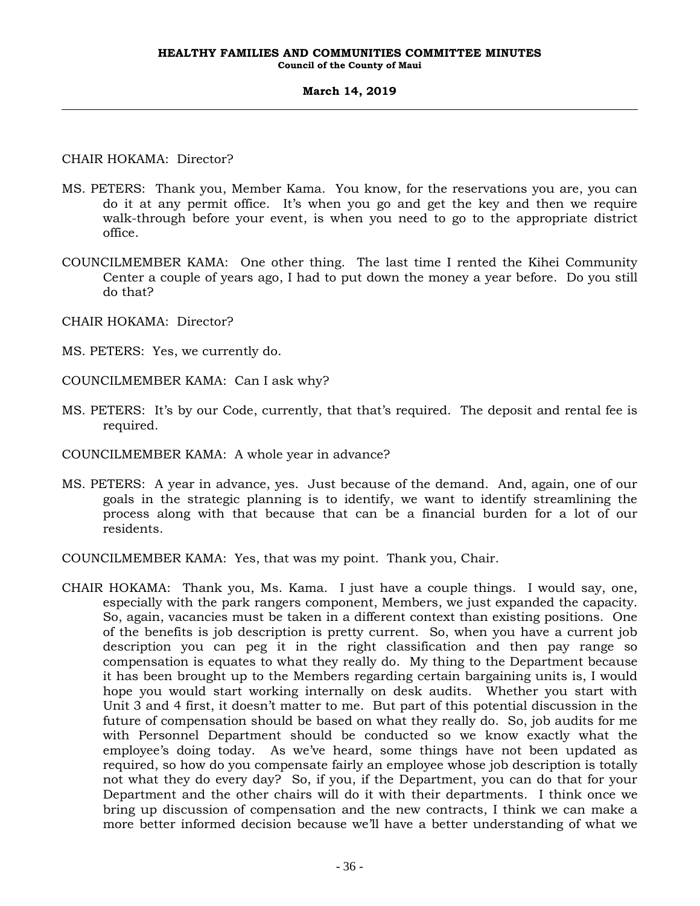CHAIR HOKAMA: Director?

- MS. PETERS: Thank you, Member Kama. You know, for the reservations you are, you can do it at any permit office. It's when you go and get the key and then we require walk-through before your event, is when you need to go to the appropriate district office.
- COUNCILMEMBER KAMA: One other thing. The last time I rented the Kihei Community Center a couple of years ago, I had to put down the money a year before. Do you still do that?
- CHAIR HOKAMA: Director?
- MS. PETERS: Yes, we currently do.
- COUNCILMEMBER KAMA: Can I ask why?
- MS. PETERS: It's by our Code, currently, that that's required. The deposit and rental fee is required.
- COUNCILMEMBER KAMA: A whole year in advance?
- MS. PETERS: A year in advance, yes. Just because of the demand. And, again, one of our goals in the strategic planning is to identify, we want to identify streamlining the process along with that because that can be a financial burden for a lot of our residents.
- COUNCILMEMBER KAMA: Yes, that was my point. Thank you, Chair.
- CHAIR HOKAMA: Thank you, Ms. Kama. I just have a couple things. I would say, one, especially with the park rangers component, Members, we just expanded the capacity. So, again, vacancies must be taken in a different context than existing positions. One of the benefits is job description is pretty current. So, when you have a current job description you can peg it in the right classification and then pay range so compensation is equates to what they really do. My thing to the Department because it has been brought up to the Members regarding certain bargaining units is, I would hope you would start working internally on desk audits. Whether you start with Unit 3 and 4 first, it doesn't matter to me. But part of this potential discussion in the future of compensation should be based on what they really do. So, job audits for me with Personnel Department should be conducted so we know exactly what the employee's doing today. As we've heard, some things have not been updated as required, so how do you compensate fairly an employee whose job description is totally not what they do every day? So, if you, if the Department, you can do that for your Department and the other chairs will do it with their departments. I think once we bring up discussion of compensation and the new contracts, I think we can make a more better informed decision because we'll have a better understanding of what we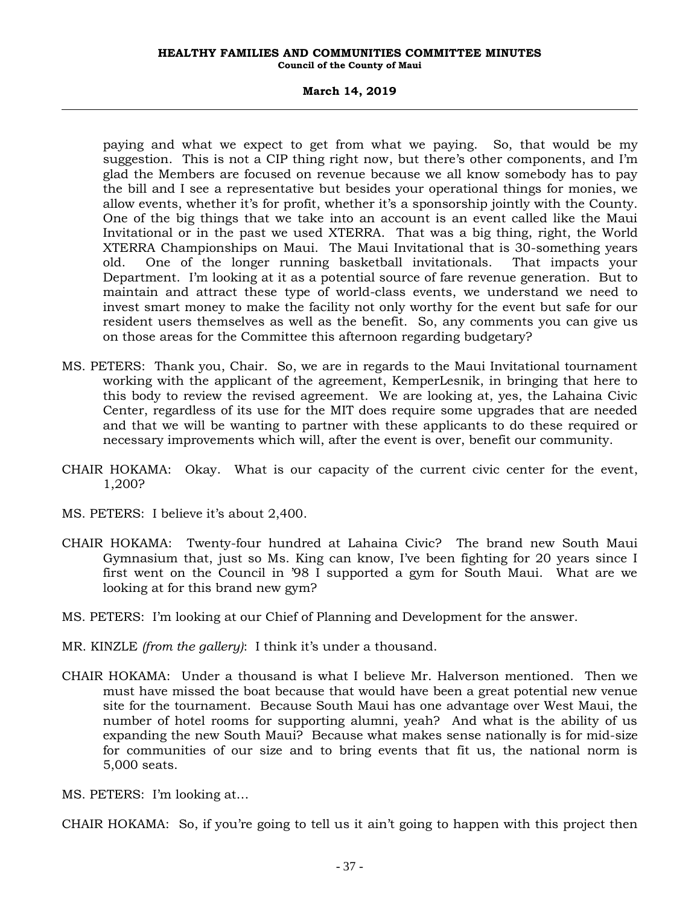#### **March 14, 2019**

paying and what we expect to get from what we paying. So, that would be my suggestion. This is not a CIP thing right now, but there's other components, and I'm glad the Members are focused on revenue because we all know somebody has to pay the bill and I see a representative but besides your operational things for monies, we allow events, whether it's for profit, whether it's a sponsorship jointly with the County. One of the big things that we take into an account is an event called like the Maui Invitational or in the past we used XTERRA. That was a big thing, right, the World XTERRA Championships on Maui. The Maui Invitational that is 30-something years old. One of the longer running basketball invitationals. That impacts your Department. I'm looking at it as a potential source of fare revenue generation. But to maintain and attract these type of world-class events, we understand we need to invest smart money to make the facility not only worthy for the event but safe for our resident users themselves as well as the benefit. So, any comments you can give us on those areas for the Committee this afternoon regarding budgetary?

- MS. PETERS: Thank you, Chair. So, we are in regards to the Maui Invitational tournament working with the applicant of the agreement, KemperLesnik, in bringing that here to this body to review the revised agreement. We are looking at, yes, the Lahaina Civic Center, regardless of its use for the MIT does require some upgrades that are needed and that we will be wanting to partner with these applicants to do these required or necessary improvements which will, after the event is over, benefit our community.
- CHAIR HOKAMA: Okay. What is our capacity of the current civic center for the event, 1,200?
- MS. PETERS: I believe it's about 2,400.
- CHAIR HOKAMA: Twenty-four hundred at Lahaina Civic? The brand new South Maui Gymnasium that, just so Ms. King can know, I've been fighting for 20 years since I first went on the Council in '98 I supported a gym for South Maui. What are we looking at for this brand new gym?
- MS. PETERS: I'm looking at our Chief of Planning and Development for the answer.
- MR. KINZLE *(from the gallery)*: I think it's under a thousand.
- CHAIR HOKAMA: Under a thousand is what I believe Mr. Halverson mentioned. Then we must have missed the boat because that would have been a great potential new venue site for the tournament. Because South Maui has one advantage over West Maui, the number of hotel rooms for supporting alumni, yeah? And what is the ability of us expanding the new South Maui? Because what makes sense nationally is for mid-size for communities of our size and to bring events that fit us, the national norm is 5,000 seats.
- MS. PETERS: I'm looking at…

CHAIR HOKAMA: So, if you're going to tell us it ain't going to happen with this project then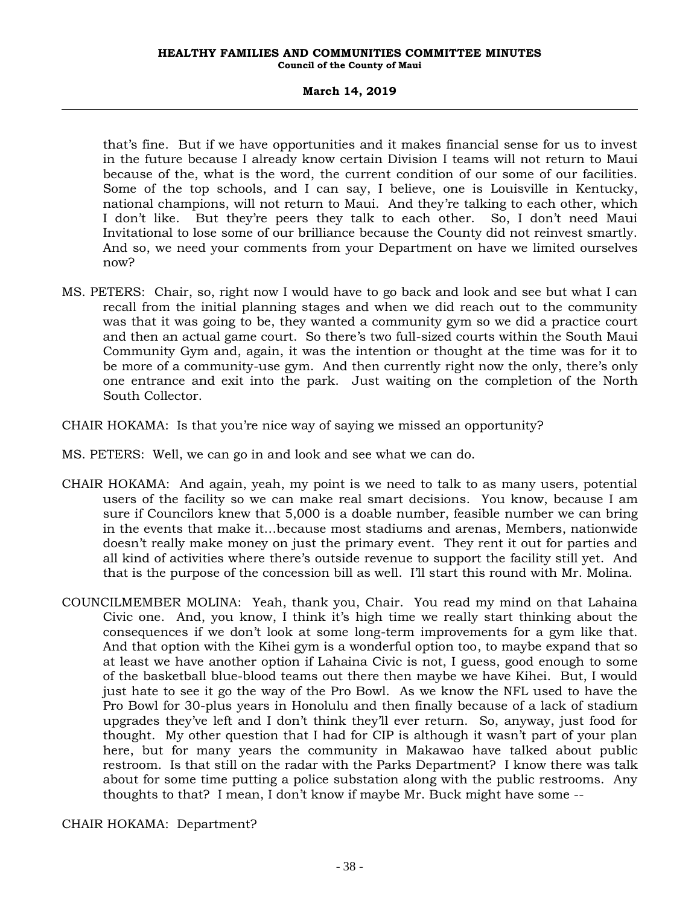#### **March 14, 2019**

that's fine. But if we have opportunities and it makes financial sense for us to invest in the future because I already know certain Division I teams will not return to Maui because of the, what is the word, the current condition of our some of our facilities. Some of the top schools, and I can say, I believe, one is Louisville in Kentucky, national champions, will not return to Maui. And they're talking to each other, which I don't like. But they're peers they talk to each other. So, I don't need Maui Invitational to lose some of our brilliance because the County did not reinvest smartly. And so, we need your comments from your Department on have we limited ourselves now?

- MS. PETERS: Chair, so, right now I would have to go back and look and see but what I can recall from the initial planning stages and when we did reach out to the community was that it was going to be, they wanted a community gym so we did a practice court and then an actual game court. So there's two full-sized courts within the South Maui Community Gym and, again, it was the intention or thought at the time was for it to be more of a community-use gym. And then currently right now the only, there's only one entrance and exit into the park. Just waiting on the completion of the North South Collector.
- CHAIR HOKAMA: Is that you're nice way of saying we missed an opportunity?
- MS. PETERS: Well, we can go in and look and see what we can do.
- CHAIR HOKAMA: And again, yeah, my point is we need to talk to as many users, potential users of the facility so we can make real smart decisions. You know, because I am sure if Councilors knew that 5,000 is a doable number, feasible number we can bring in the events that make it…because most stadiums and arenas, Members, nationwide doesn't really make money on just the primary event. They rent it out for parties and all kind of activities where there's outside revenue to support the facility still yet. And that is the purpose of the concession bill as well. I'll start this round with Mr. Molina.
- COUNCILMEMBER MOLINA: Yeah, thank you, Chair. You read my mind on that Lahaina Civic one. And, you know, I think it's high time we really start thinking about the consequences if we don't look at some long-term improvements for a gym like that. And that option with the Kihei gym is a wonderful option too, to maybe expand that so at least we have another option if Lahaina Civic is not, I guess, good enough to some of the basketball blue-blood teams out there then maybe we have Kihei. But, I would just hate to see it go the way of the Pro Bowl. As we know the NFL used to have the Pro Bowl for 30-plus years in Honolulu and then finally because of a lack of stadium upgrades they've left and I don't think they'll ever return. So, anyway, just food for thought. My other question that I had for CIP is although it wasn't part of your plan here, but for many years the community in Makawao have talked about public restroom. Is that still on the radar with the Parks Department? I know there was talk about for some time putting a police substation along with the public restrooms. Any thoughts to that? I mean, I don't know if maybe Mr. Buck might have some --

CHAIR HOKAMA: Department?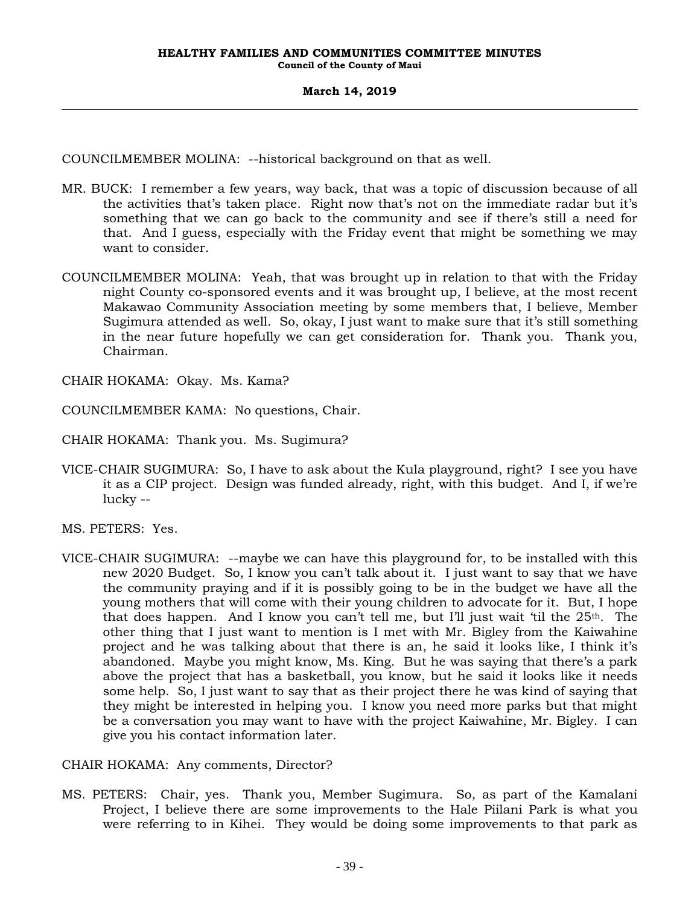COUNCILMEMBER MOLINA: --historical background on that as well.

- MR. BUCK: I remember a few years, way back, that was a topic of discussion because of all the activities that's taken place. Right now that's not on the immediate radar but it's something that we can go back to the community and see if there's still a need for that. And I guess, especially with the Friday event that might be something we may want to consider.
- COUNCILMEMBER MOLINA: Yeah, that was brought up in relation to that with the Friday night County co-sponsored events and it was brought up, I believe, at the most recent Makawao Community Association meeting by some members that, I believe, Member Sugimura attended as well. So, okay, I just want to make sure that it's still something in the near future hopefully we can get consideration for. Thank you. Thank you, Chairman.

CHAIR HOKAMA: Okay. Ms. Kama?

COUNCILMEMBER KAMA: No questions, Chair.

CHAIR HOKAMA: Thank you. Ms. Sugimura?

VICE-CHAIR SUGIMURA: So, I have to ask about the Kula playground, right? I see you have it as a CIP project. Design was funded already, right, with this budget. And I, if we're lucky --

MS. PETERS: Yes.

VICE-CHAIR SUGIMURA: --maybe we can have this playground for, to be installed with this new 2020 Budget. So, I know you can't talk about it. I just want to say that we have the community praying and if it is possibly going to be in the budget we have all the young mothers that will come with their young children to advocate for it. But, I hope that does happen. And I know you can't tell me, but I'll just wait 'til the  $25<sup>th</sup>$ . The other thing that I just want to mention is I met with Mr. Bigley from the Kaiwahine project and he was talking about that there is an, he said it looks like, I think it's abandoned. Maybe you might know, Ms. King. But he was saying that there's a park above the project that has a basketball, you know, but he said it looks like it needs some help. So, I just want to say that as their project there he was kind of saying that they might be interested in helping you. I know you need more parks but that might be a conversation you may want to have with the project Kaiwahine, Mr. Bigley. I can give you his contact information later.

CHAIR HOKAMA: Any comments, Director?

MS. PETERS: Chair, yes. Thank you, Member Sugimura. So, as part of the Kamalani Project, I believe there are some improvements to the Hale Piilani Park is what you were referring to in Kihei. They would be doing some improvements to that park as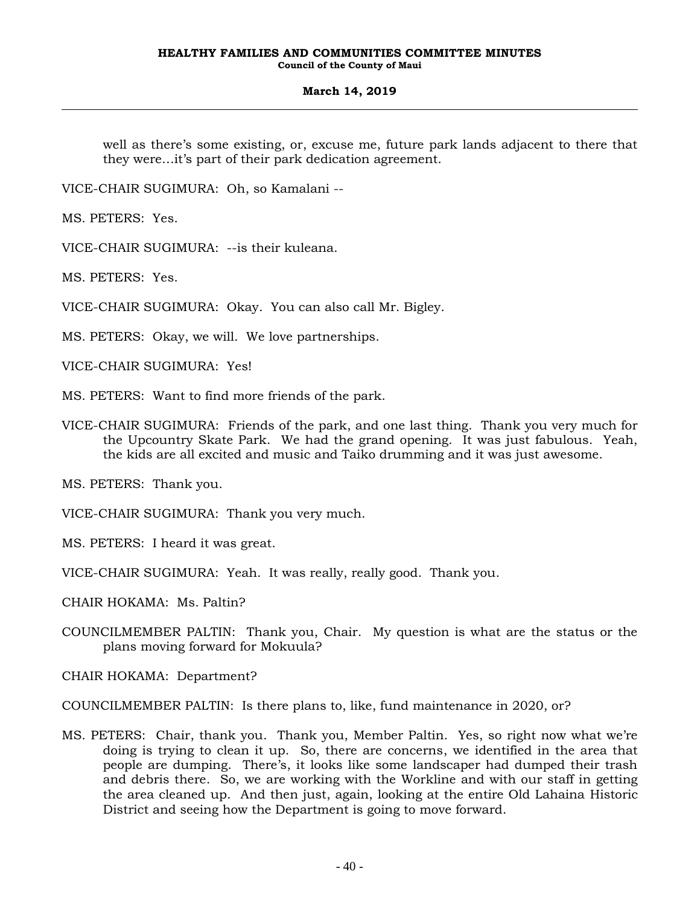well as there's some existing, or, excuse me, future park lands adjacent to there that they were…it's part of their park dedication agreement.

VICE-CHAIR SUGIMURA: Oh, so Kamalani --

MS. PETERS: Yes.

VICE-CHAIR SUGIMURA: --is their kuleana.

MS. PETERS: Yes.

VICE-CHAIR SUGIMURA: Okay. You can also call Mr. Bigley.

MS. PETERS: Okay, we will. We love partnerships.

VICE-CHAIR SUGIMURA: Yes!

MS. PETERS: Want to find more friends of the park.

VICE-CHAIR SUGIMURA: Friends of the park, and one last thing. Thank you very much for the Upcountry Skate Park. We had the grand opening. It was just fabulous. Yeah, the kids are all excited and music and Taiko drumming and it was just awesome.

MS. PETERS: Thank you.

VICE-CHAIR SUGIMURA: Thank you very much.

MS. PETERS: I heard it was great.

VICE-CHAIR SUGIMURA: Yeah. It was really, really good. Thank you.

CHAIR HOKAMA: Ms. Paltin?

COUNCILMEMBER PALTIN: Thank you, Chair. My question is what are the status or the plans moving forward for Mokuula?

CHAIR HOKAMA: Department?

COUNCILMEMBER PALTIN: Is there plans to, like, fund maintenance in 2020, or?

MS. PETERS: Chair, thank you. Thank you, Member Paltin. Yes, so right now what we're doing is trying to clean it up. So, there are concerns, we identified in the area that people are dumping. There's, it looks like some landscaper had dumped their trash and debris there. So, we are working with the Workline and with our staff in getting the area cleaned up. And then just, again, looking at the entire Old Lahaina Historic District and seeing how the Department is going to move forward.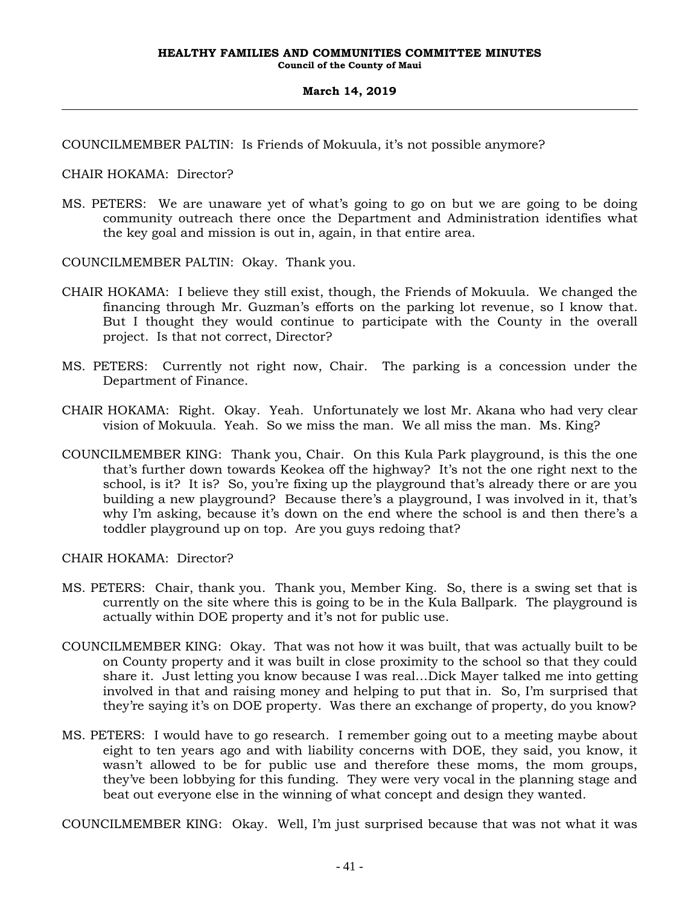COUNCILMEMBER PALTIN: Is Friends of Mokuula, it's not possible anymore?

CHAIR HOKAMA: Director?

MS. PETERS: We are unaware yet of what's going to go on but we are going to be doing community outreach there once the Department and Administration identifies what the key goal and mission is out in, again, in that entire area.

COUNCILMEMBER PALTIN: Okay. Thank you.

- CHAIR HOKAMA: I believe they still exist, though, the Friends of Mokuula. We changed the financing through Mr. Guzman's efforts on the parking lot revenue, so I know that. But I thought they would continue to participate with the County in the overall project. Is that not correct, Director?
- MS. PETERS: Currently not right now, Chair. The parking is a concession under the Department of Finance.
- CHAIR HOKAMA: Right. Okay. Yeah. Unfortunately we lost Mr. Akana who had very clear vision of Mokuula. Yeah. So we miss the man. We all miss the man. Ms. King?
- COUNCILMEMBER KING: Thank you, Chair. On this Kula Park playground, is this the one that's further down towards Keokea off the highway? It's not the one right next to the school, is it? It is? So, you're fixing up the playground that's already there or are you building a new playground? Because there's a playground, I was involved in it, that's why I'm asking, because it's down on the end where the school is and then there's a toddler playground up on top. Are you guys redoing that?

CHAIR HOKAMA: Director?

- MS. PETERS: Chair, thank you. Thank you, Member King. So, there is a swing set that is currently on the site where this is going to be in the Kula Ballpark. The playground is actually within DOE property and it's not for public use.
- COUNCILMEMBER KING: Okay. That was not how it was built, that was actually built to be on County property and it was built in close proximity to the school so that they could share it. Just letting you know because I was real…Dick Mayer talked me into getting involved in that and raising money and helping to put that in. So, I'm surprised that they're saying it's on DOE property. Was there an exchange of property, do you know?
- MS. PETERS: I would have to go research. I remember going out to a meeting maybe about eight to ten years ago and with liability concerns with DOE, they said, you know, it wasn't allowed to be for public use and therefore these moms, the mom groups, they've been lobbying for this funding. They were very vocal in the planning stage and beat out everyone else in the winning of what concept and design they wanted.

COUNCILMEMBER KING: Okay. Well, I'm just surprised because that was not what it was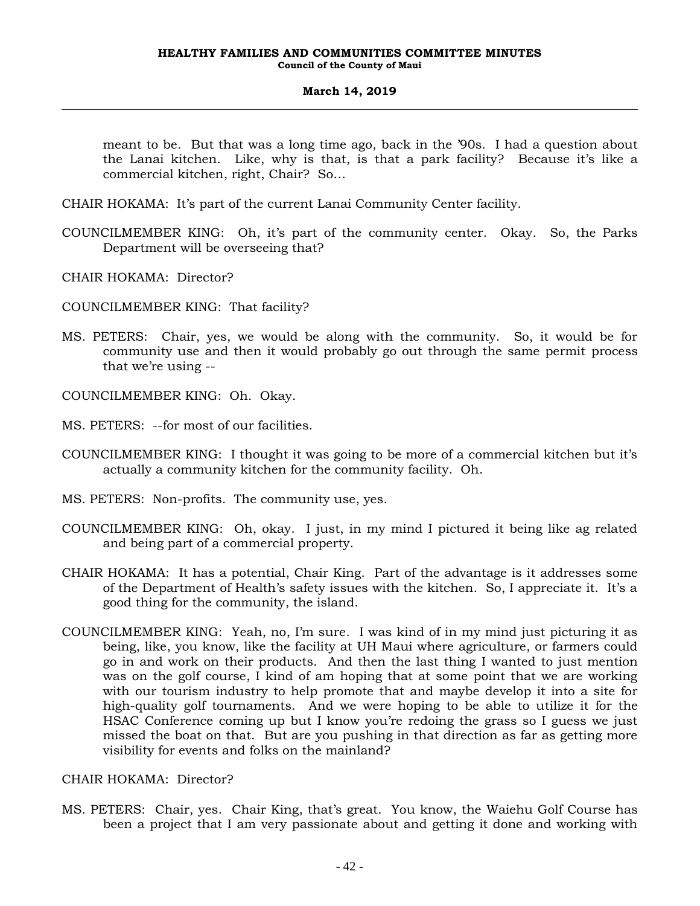meant to be. But that was a long time ago, back in the '90s. I had a question about the Lanai kitchen. Like, why is that, is that a park facility? Because it's like a commercial kitchen, right, Chair? So…

- CHAIR HOKAMA: It's part of the current Lanai Community Center facility.
- COUNCILMEMBER KING: Oh, it's part of the community center. Okay. So, the Parks Department will be overseeing that?
- CHAIR HOKAMA: Director?
- COUNCILMEMBER KING: That facility?
- MS. PETERS: Chair, yes, we would be along with the community. So, it would be for community use and then it would probably go out through the same permit process that we're using --
- COUNCILMEMBER KING: Oh. Okay.
- MS. PETERS: --for most of our facilities.
- COUNCILMEMBER KING: I thought it was going to be more of a commercial kitchen but it's actually a community kitchen for the community facility. Oh.
- MS. PETERS: Non-profits. The community use, yes.
- COUNCILMEMBER KING: Oh, okay. I just, in my mind I pictured it being like ag related and being part of a commercial property.
- CHAIR HOKAMA: It has a potential, Chair King. Part of the advantage is it addresses some of the Department of Health's safety issues with the kitchen. So, I appreciate it. It's a good thing for the community, the island.
- COUNCILMEMBER KING: Yeah, no, I'm sure. I was kind of in my mind just picturing it as being, like, you know, like the facility at UH Maui where agriculture, or farmers could go in and work on their products. And then the last thing I wanted to just mention was on the golf course, I kind of am hoping that at some point that we are working with our tourism industry to help promote that and maybe develop it into a site for high-quality golf tournaments. And we were hoping to be able to utilize it for the HSAC Conference coming up but I know you're redoing the grass so I guess we just missed the boat on that. But are you pushing in that direction as far as getting more visibility for events and folks on the mainland?

### CHAIR HOKAMA: Director?

MS. PETERS: Chair, yes. Chair King, that's great. You know, the Waiehu Golf Course has been a project that I am very passionate about and getting it done and working with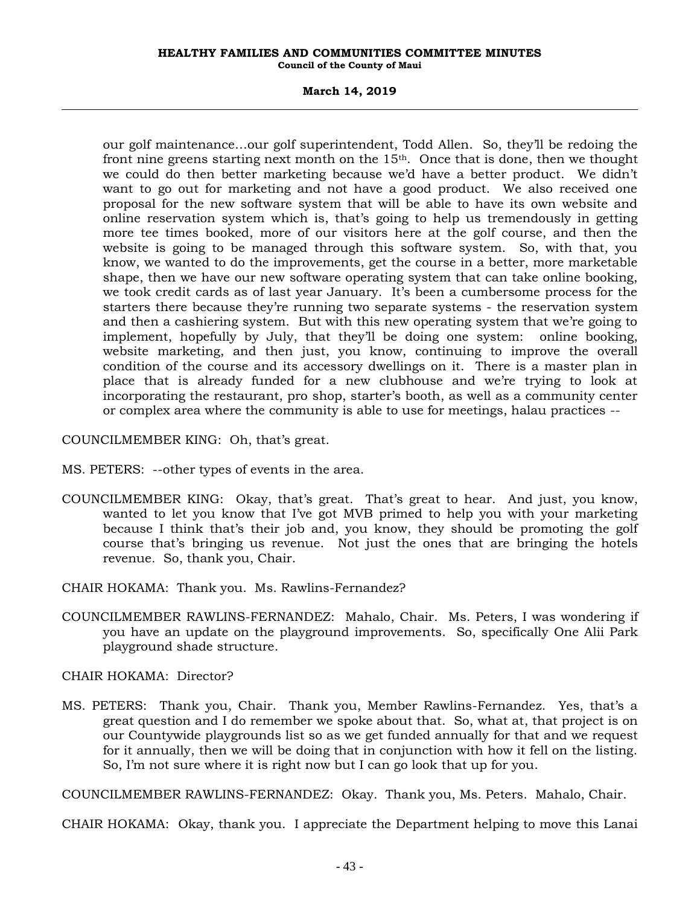#### **March 14, 2019**

our golf maintenance…our golf superintendent, Todd Allen. So, they'll be redoing the front nine greens starting next month on the  $15<sup>th</sup>$ . Once that is done, then we thought we could do then better marketing because we'd have a better product. We didn't want to go out for marketing and not have a good product. We also received one proposal for the new software system that will be able to have its own website and online reservation system which is, that's going to help us tremendously in getting more tee times booked, more of our visitors here at the golf course, and then the website is going to be managed through this software system. So, with that, you know, we wanted to do the improvements, get the course in a better, more marketable shape, then we have our new software operating system that can take online booking, we took credit cards as of last year January. It's been a cumbersome process for the starters there because they're running two separate systems - the reservation system and then a cashiering system. But with this new operating system that we're going to implement, hopefully by July, that they'll be doing one system: online booking, website marketing, and then just, you know, continuing to improve the overall condition of the course and its accessory dwellings on it. There is a master plan in place that is already funded for a new clubhouse and we're trying to look at incorporating the restaurant, pro shop, starter's booth, as well as a community center or complex area where the community is able to use for meetings, halau practices --

COUNCILMEMBER KING: Oh, that's great.

- MS. PETERS: --other types of events in the area.
- COUNCILMEMBER KING: Okay, that's great. That's great to hear. And just, you know, wanted to let you know that I've got MVB primed to help you with your marketing because I think that's their job and, you know, they should be promoting the golf course that's bringing us revenue. Not just the ones that are bringing the hotels revenue. So, thank you, Chair.
- CHAIR HOKAMA: Thank you. Ms. Rawlins-Fernandez?
- COUNCILMEMBER RAWLINS-FERNANDEZ: Mahalo, Chair. Ms. Peters, I was wondering if you have an update on the playground improvements. So, specifically One Alii Park playground shade structure.

CHAIR HOKAMA: Director?

MS. PETERS: Thank you, Chair. Thank you, Member Rawlins-Fernandez. Yes, that's a great question and I do remember we spoke about that. So, what at, that project is on our Countywide playgrounds list so as we get funded annually for that and we request for it annually, then we will be doing that in conjunction with how it fell on the listing. So, I'm not sure where it is right now but I can go look that up for you.

COUNCILMEMBER RAWLINS-FERNANDEZ: Okay. Thank you, Ms. Peters. Mahalo, Chair.

CHAIR HOKAMA: Okay, thank you. I appreciate the Department helping to move this Lanai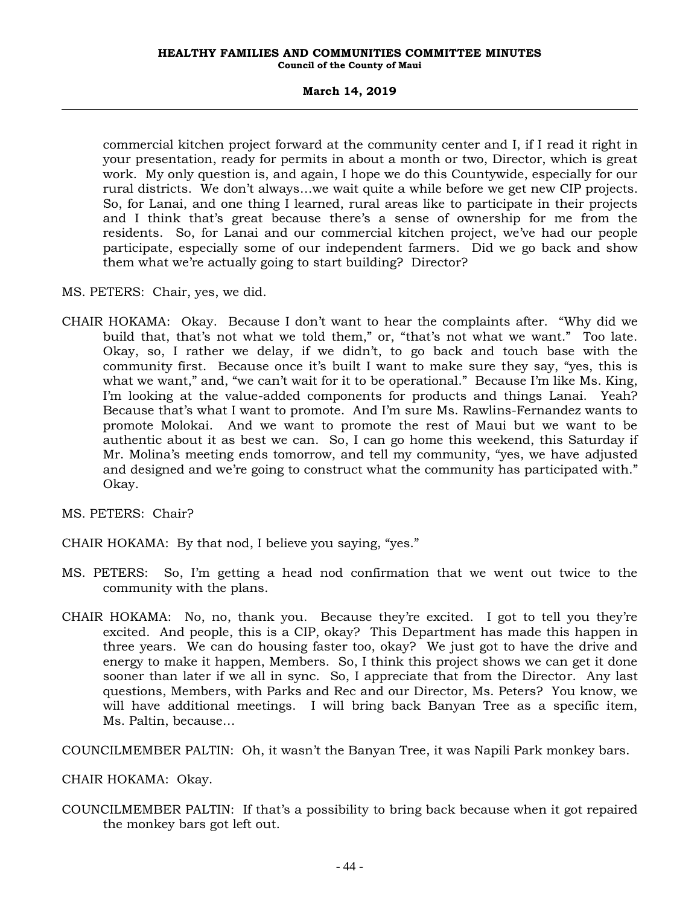#### **March 14, 2019**

commercial kitchen project forward at the community center and I, if I read it right in your presentation, ready for permits in about a month or two, Director, which is great work. My only question is, and again, I hope we do this Countywide, especially for our rural districts. We don't always…we wait quite a while before we get new CIP projects. So, for Lanai, and one thing I learned, rural areas like to participate in their projects and I think that's great because there's a sense of ownership for me from the residents. So, for Lanai and our commercial kitchen project, we've had our people participate, especially some of our independent farmers. Did we go back and show them what we're actually going to start building? Director?

- MS. PETERS: Chair, yes, we did.
- CHAIR HOKAMA: Okay. Because I don't want to hear the complaints after. "Why did we build that, that's not what we told them," or, "that's not what we want." Too late. Okay, so, I rather we delay, if we didn't, to go back and touch base with the community first. Because once it's built I want to make sure they say, "yes, this is what we want," and, "we can't wait for it to be operational." Because I'm like Ms. King, I'm looking at the value-added components for products and things Lanai. Yeah? Because that's what I want to promote. And I'm sure Ms. Rawlins-Fernandez wants to promote Molokai. And we want to promote the rest of Maui but we want to be authentic about it as best we can. So, I can go home this weekend, this Saturday if Mr. Molina's meeting ends tomorrow, and tell my community, "yes, we have adjusted and designed and we're going to construct what the community has participated with." Okay.
- MS. PETERS: Chair?
- CHAIR HOKAMA: By that nod, I believe you saying, "yes."
- MS. PETERS: So, I'm getting a head nod confirmation that we went out twice to the community with the plans.
- CHAIR HOKAMA: No, no, thank you. Because they're excited. I got to tell you they're excited. And people, this is a CIP, okay? This Department has made this happen in three years. We can do housing faster too, okay? We just got to have the drive and energy to make it happen, Members. So, I think this project shows we can get it done sooner than later if we all in sync. So, I appreciate that from the Director. Any last questions, Members, with Parks and Rec and our Director, Ms. Peters? You know, we will have additional meetings. I will bring back Banyan Tree as a specific item, Ms. Paltin, because…

COUNCILMEMBER PALTIN: Oh, it wasn't the Banyan Tree, it was Napili Park monkey bars.

CHAIR HOKAMA: Okay.

COUNCILMEMBER PALTIN: If that's a possibility to bring back because when it got repaired the monkey bars got left out.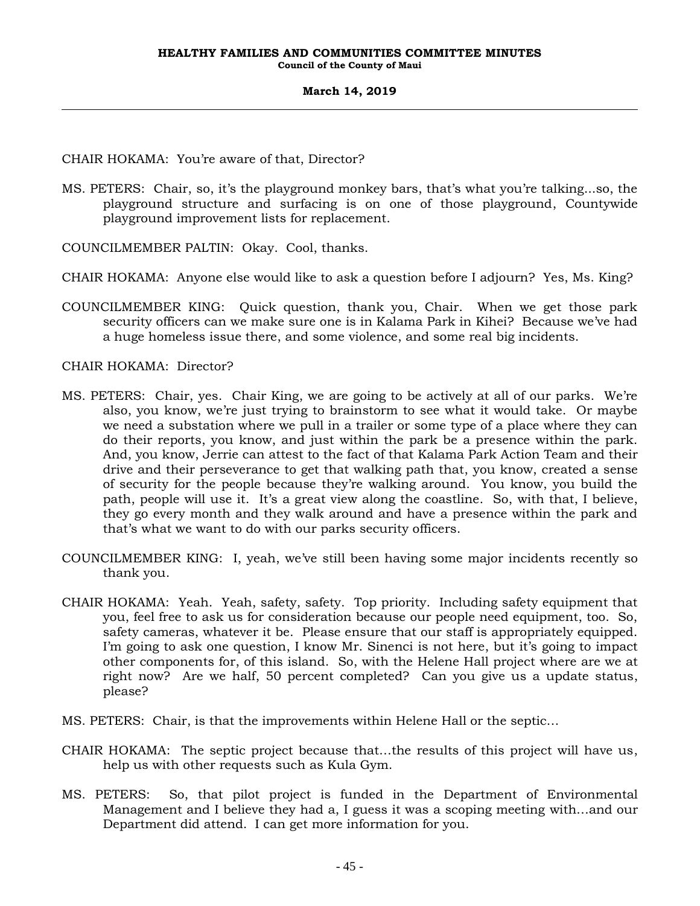CHAIR HOKAMA: You're aware of that, Director?

MS. PETERS: Chair, so, it's the playground monkey bars, that's what you're talking...so, the playground structure and surfacing is on one of those playground, Countywide playground improvement lists for replacement.

COUNCILMEMBER PALTIN: Okay. Cool, thanks.

- CHAIR HOKAMA: Anyone else would like to ask a question before I adjourn? Yes, Ms. King?
- COUNCILMEMBER KING: Quick question, thank you, Chair. When we get those park security officers can we make sure one is in Kalama Park in Kihei? Because we've had a huge homeless issue there, and some violence, and some real big incidents.

CHAIR HOKAMA: Director?

- MS. PETERS: Chair, yes. Chair King, we are going to be actively at all of our parks. We're also, you know, we're just trying to brainstorm to see what it would take. Or maybe we need a substation where we pull in a trailer or some type of a place where they can do their reports, you know, and just within the park be a presence within the park. And, you know, Jerrie can attest to the fact of that Kalama Park Action Team and their drive and their perseverance to get that walking path that, you know, created a sense of security for the people because they're walking around. You know, you build the path, people will use it. It's a great view along the coastline. So, with that, I believe, they go every month and they walk around and have a presence within the park and that's what we want to do with our parks security officers.
- COUNCILMEMBER KING: I, yeah, we've still been having some major incidents recently so thank you.
- CHAIR HOKAMA: Yeah. Yeah, safety, safety. Top priority. Including safety equipment that you, feel free to ask us for consideration because our people need equipment, too. So, safety cameras, whatever it be. Please ensure that our staff is appropriately equipped. I'm going to ask one question, I know Mr. Sinenci is not here, but it's going to impact other components for, of this island. So, with the Helene Hall project where are we at right now? Are we half, 50 percent completed? Can you give us a update status, please?
- MS. PETERS: Chair, is that the improvements within Helene Hall or the septic…
- CHAIR HOKAMA: The septic project because that…the results of this project will have us, help us with other requests such as Kula Gym.
- MS. PETERS: So, that pilot project is funded in the Department of Environmental Management and I believe they had a, I guess it was a scoping meeting with…and our Department did attend. I can get more information for you.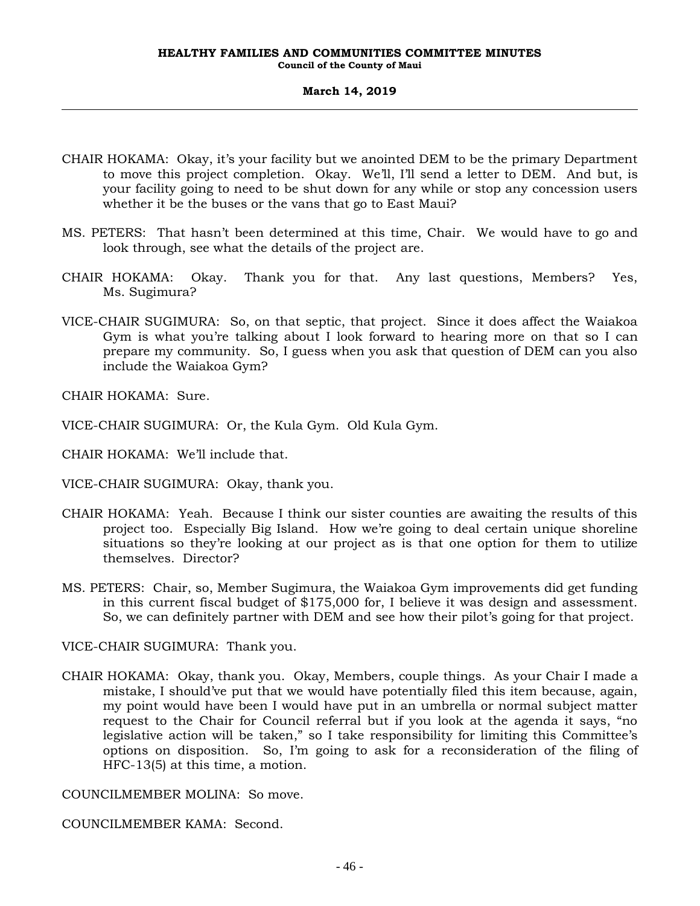- CHAIR HOKAMA: Okay, it's your facility but we anointed DEM to be the primary Department to move this project completion. Okay. We'll, I'll send a letter to DEM. And but, is your facility going to need to be shut down for any while or stop any concession users whether it be the buses or the vans that go to East Maui?
- MS. PETERS: That hasn't been determined at this time, Chair. We would have to go and look through, see what the details of the project are.
- CHAIR HOKAMA: Okay. Thank you for that. Any last questions, Members? Yes, Ms. Sugimura?
- VICE-CHAIR SUGIMURA: So, on that septic, that project. Since it does affect the Waiakoa Gym is what you're talking about I look forward to hearing more on that so I can prepare my community. So, I guess when you ask that question of DEM can you also include the Waiakoa Gym?

CHAIR HOKAMA: Sure.

- VICE-CHAIR SUGIMURA: Or, the Kula Gym. Old Kula Gym.
- CHAIR HOKAMA: We'll include that.
- VICE-CHAIR SUGIMURA: Okay, thank you.
- CHAIR HOKAMA: Yeah. Because I think our sister counties are awaiting the results of this project too. Especially Big Island. How we're going to deal certain unique shoreline situations so they're looking at our project as is that one option for them to utilize themselves. Director?
- MS. PETERS: Chair, so, Member Sugimura, the Waiakoa Gym improvements did get funding in this current fiscal budget of \$175,000 for, I believe it was design and assessment. So, we can definitely partner with DEM and see how their pilot's going for that project.

VICE-CHAIR SUGIMURA: Thank you.

CHAIR HOKAMA: Okay, thank you. Okay, Members, couple things. As your Chair I made a mistake, I should've put that we would have potentially filed this item because, again, my point would have been I would have put in an umbrella or normal subject matter request to the Chair for Council referral but if you look at the agenda it says, "no legislative action will be taken," so I take responsibility for limiting this Committee's options on disposition. So, I'm going to ask for a reconsideration of the filing of HFC-13(5) at this time, a motion.

COUNCILMEMBER MOLINA: So move.

COUNCILMEMBER KAMA: Second.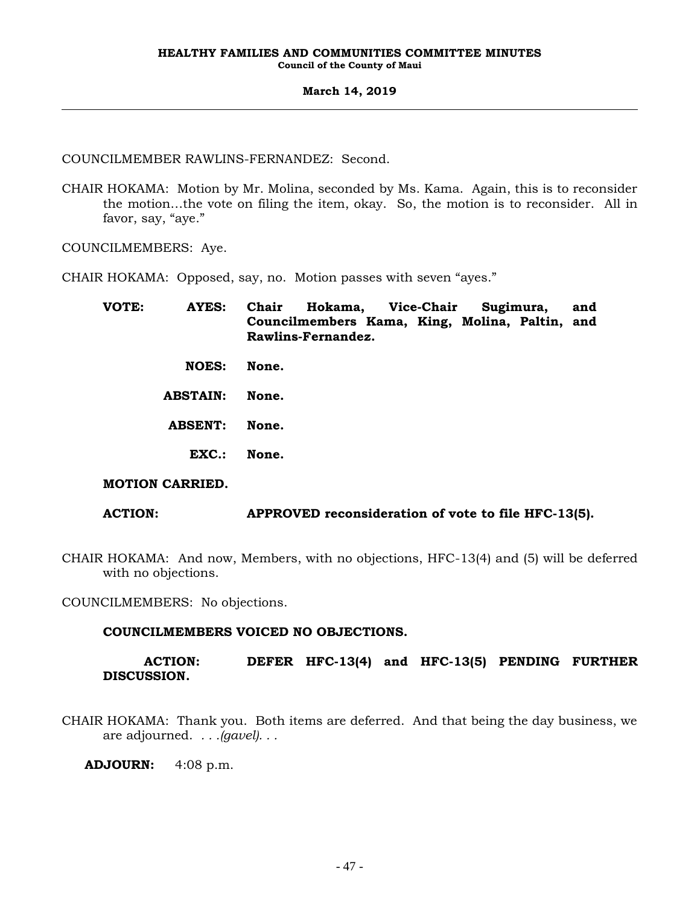COUNCILMEMBER RAWLINS-FERNANDEZ: Second.

CHAIR HOKAMA: Motion by Mr. Molina, seconded by Ms. Kama. Again, this is to reconsider the motion…the vote on filing the item, okay. So, the motion is to reconsider. All in favor, say, "aye."

COUNCILMEMBERS: Aye.

CHAIR HOKAMA: Opposed, say, no. Motion passes with seven "ayes."

| VOTE: | <b>AYES:</b>    | Chair Hokama, Vice-Chair Sugimura,             |  |  |  | and |  |
|-------|-----------------|------------------------------------------------|--|--|--|-----|--|
|       |                 | Councilmembers Kama, King, Molina, Paltin, and |  |  |  |     |  |
|       |                 | Rawlins-Fernandez.                             |  |  |  |     |  |
|       | <b>NOES:</b>    | None.                                          |  |  |  |     |  |
|       |                 |                                                |  |  |  |     |  |
|       | <b>ABSTAIN:</b> | None.                                          |  |  |  |     |  |
|       |                 |                                                |  |  |  |     |  |
|       | <b>ABSENT:</b>  | None.                                          |  |  |  |     |  |
|       |                 |                                                |  |  |  |     |  |
|       | EXC.:           | None.                                          |  |  |  |     |  |
|       |                 |                                                |  |  |  |     |  |

### **MOTION CARRIED.**

### **ACTION: APPROVED reconsideration of vote to file HFC-13(5).**

CHAIR HOKAMA: And now, Members, with no objections, HFC-13(4) and (5) will be deferred with no objections.

COUNCILMEMBERS: No objections.

### **COUNCILMEMBERS VOICED NO OBJECTIONS.**

### **ACTION: DEFER HFC-13(4) and HFC-13(5) PENDING FURTHER DISCUSSION.**

CHAIR HOKAMA: Thank you. Both items are deferred. And that being the day business, we are adjourned. *. . .(gavel). . .*

**ADJOURN:** 4:08 p.m.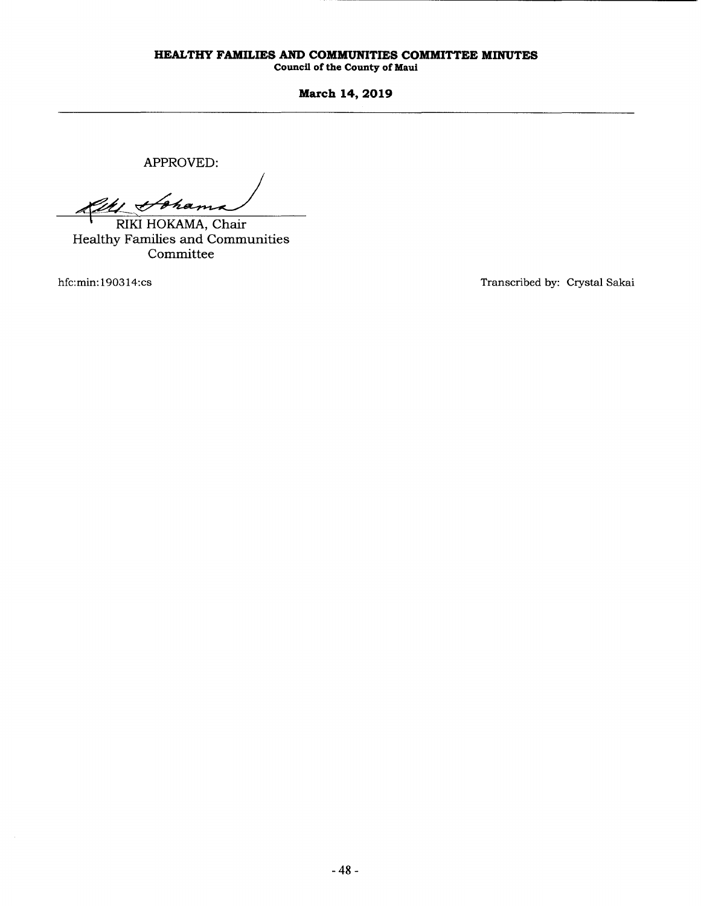# **HEALTHY FAMILIES AND COMMUNITIES COMMITTEE MINUTES**

**Council of the County of Maul** 

**March 14, 2019** 

APPROVED:

RICH Chama

Healthy Families and Communities Committee

hfc:min: 190314:cs

Transcribed by: Crystal Sakai